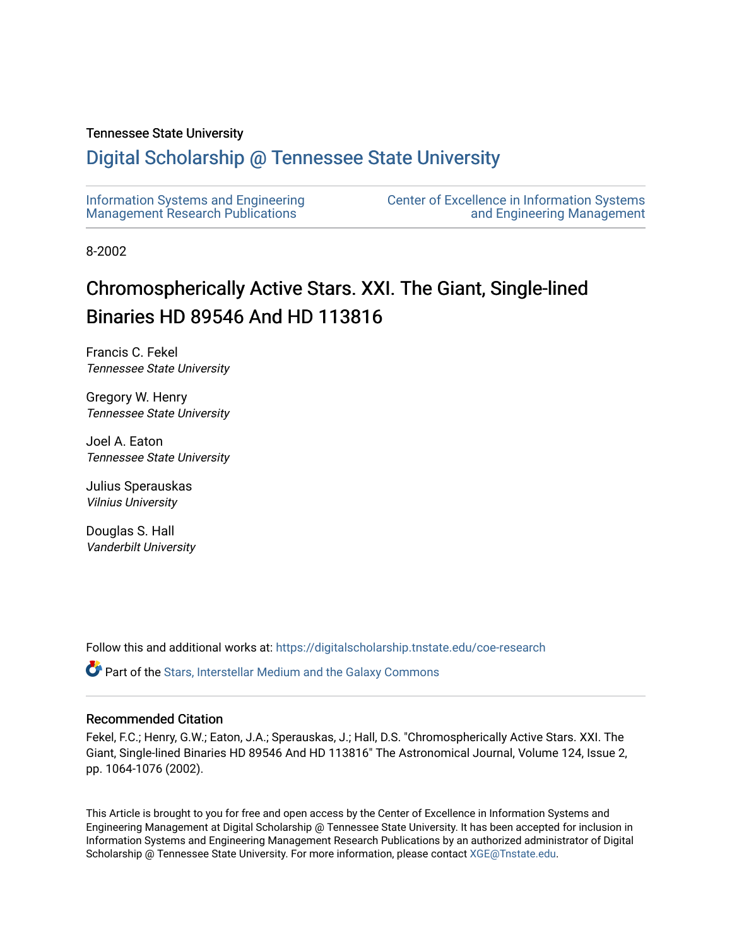## Tennessee State University

# [Digital Scholarship @ Tennessee State University](https://digitalscholarship.tnstate.edu/)

| Information Systems and Engineering     | <b>Center of Excellence in Information Systems</b> |
|-----------------------------------------|----------------------------------------------------|
| <b>Management Research Publications</b> | and Engineering Management                         |

8-2002

# Chromospherically Active Stars. XXI. The Giant, Single-lined Binaries HD 89546 And HD 113816

Francis C. Fekel Tennessee State University

Gregory W. Henry Tennessee State University

Joel A. Eaton Tennessee State University

Julius Sperauskas Vilnius University

Douglas S. Hall Vanderbilt University

Follow this and additional works at: [https://digitalscholarship.tnstate.edu/coe-research](https://digitalscholarship.tnstate.edu/coe-research?utm_source=digitalscholarship.tnstate.edu%2Fcoe-research%2F340&utm_medium=PDF&utm_campaign=PDFCoverPages) 

Part of the [Stars, Interstellar Medium and the Galaxy Commons](http://network.bepress.com/hgg/discipline/127?utm_source=digitalscholarship.tnstate.edu%2Fcoe-research%2F340&utm_medium=PDF&utm_campaign=PDFCoverPages) 

### Recommended Citation

Fekel, F.C.; Henry, G.W.; Eaton, J.A.; Sperauskas, J.; Hall, D.S. "Chromospherically Active Stars. XXI. The Giant, Single-lined Binaries HD 89546 And HD 113816" The Astronomical Journal, Volume 124, Issue 2, pp. 1064-1076 (2002).

This Article is brought to you for free and open access by the Center of Excellence in Information Systems and Engineering Management at Digital Scholarship @ Tennessee State University. It has been accepted for inclusion in Information Systems and Engineering Management Research Publications by an authorized administrator of Digital Scholarship @ Tennessee State University. For more information, please contact [XGE@Tnstate.edu](mailto:XGE@Tnstate.edu).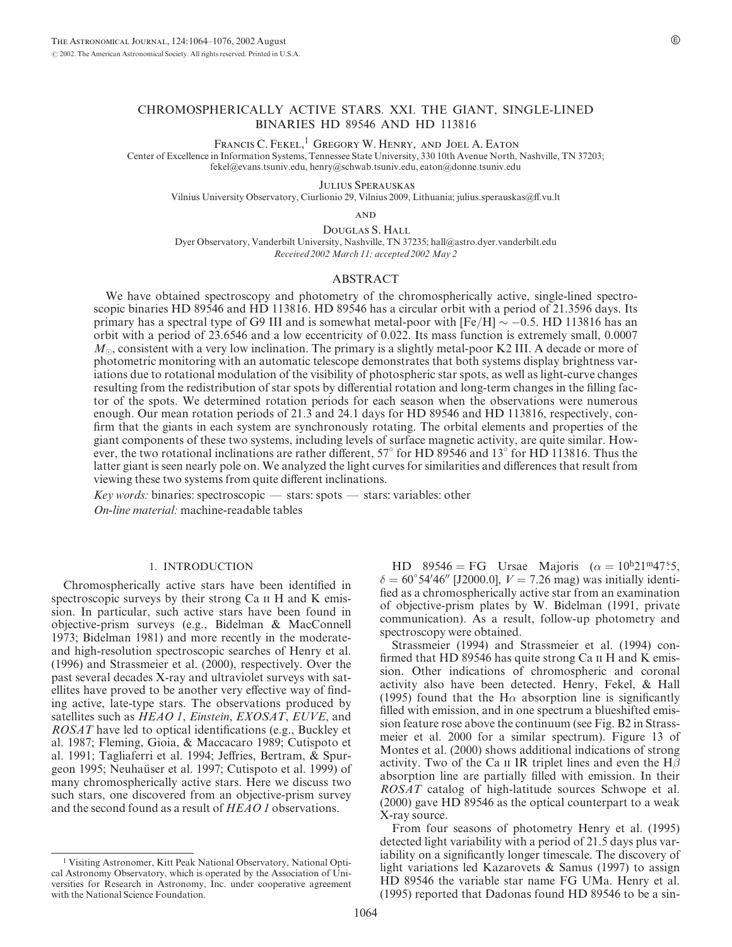#### CHROMOSPHERICALLY ACTIVE STARS. XXI. THE GIANT, SINGLE-LINED BINARIES HD 89546 AND HD 113816

FRANCIS C. FEKEL,<sup>1</sup> GREGORY W. HENRY, AND JOEL A. EATON

Center of Excellence in Information Systems, Tennessee State University, 330 10th Avenue North, Nashville, TN 37203; fekel@evans.tsuniv.edu, henry@schwab.tsuniv.edu, eaton@donne.tsuniv.edu

Julius Sperauskas

Vilnius University Observatory, Ciurlionio 29, Vilnius 2009, Lithuania; julius.sperauskas@ff.vu.lt

**AND** 

Douglas S. Hall Dyer Observatory, Vanderbilt University, Nashville, TN 37235; hall@astro.dyer.vanderbilt.edu Received 2002 March 11; accepted 2002 May 2

#### ABSTRACT

We have obtained spectroscopy and photometry of the chromospherically active, single-lined spectroscopic binaries HD 89546 and HD 113816. HD 89546 has a circular orbit with a period of 21.3596 days. Its primary has a spectral type of G9 III and is somewhat metal-poor with  $[Fe/H] \sim -0.5$ . HD 113816 has an orbit with a period of 23.6546 and a low eccentricity of 0.022. Its mass function is extremely small, 0.0007  $M_{\odot}$ , consistent with a very low inclination. The primary is a slightly metal-poor K2 III. A decade or more of photometric monitoring with an automatic telescope demonstrates that both systems display brightness variations due to rotational modulation of the visibility of photospheric star spots, as well as light-curve changes resulting from the redistribution of star spots by differential rotation and long-term changes in the filling factor of the spots. We determined rotation periods for each season when the observations were numerous enough. Our mean rotation periods of 21.3 and 24.1 days for HD 89546 and HD 113816, respectively, confirm that the giants in each system are synchronously rotating. The orbital elements and properties of the giant components of these two systems, including levels of surface magnetic activity, are quite similar. However, the two rotational inclinations are rather different,  $57^\circ$  for HD 89546 and 13 $^\circ$  for HD 113816. Thus the latter giant is seen nearly pole on. We analyzed the light curves for similarities and differences that result from viewing these two systems from quite different inclinations.

Key words: binaries: spectroscopic  $-$  stars: spots  $-$  stars: variables: other

On-line material: machine-readable tables

#### 1. INTRODUCTION

Chromospherically active stars have been identified in spectroscopic surveys by their strong Ca  $\scriptstyle\rm II$  H and K emission. In particular, such active stars have been found in objective-prism surveys (e.g., Bidelman & MacConnell 1973; Bidelman 1981) and more recently in the moderateand high-resolution spectroscopic searches of Henry et al. (1996) and Strassmeier et al. (2000), respectively. Over the past several decades X-ray and ultraviolet surveys with satellites have proved to be another very effective way of finding active, late-type stars. The observations produced by satellites such as HEAO 1, Einstein, EXOSAT, EUVE, and ROSAT have led to optical identifications (e.g., Buckley et al. 1987; Fleming, Gioia, & Maccacaro 1989; Cutispoto et al. 1991; Tagliaferri et al. 1994; Jeffries, Bertram, & Spurgeon 1995; Neuhaüser et al. 1997; Cutispoto et al. 1999) of many chromospherically active stars. Here we discuss two such stars, one discovered from an objective-prism survey and the second found as a result of HEAO 1 observations.

HD 89546 = FG Ursae Majoris ( $\alpha = 10^{h}21^{m}47^{s}5$ ,  $\delta = 60^{\circ} 54' 46''$  [J2000.0],  $V = 7.26$  mag) was initially identified as a chromospherically active star from an examination of objective-prism plates by W. Bidelman (1991, private communication). As a result, follow-up photometry and spectroscopy were obtained.

Strassmeier (1994) and Strassmeier et al. (1994) confirmed that HD 89546 has quite strong Ca II H and K emission. Other indications of chromospheric and coronal activity also have been detected. Henry, Fekel, & Hall (1995) found that the H $\alpha$  absorption line is significantly filled with emission, and in one spectrum a blueshifted emission feature rose above the continuum (see Fig. B2 in Strassmeier et al. 2000 for a similar spectrum). Figure 13 of Montes et al. (2000) shows additional indications of strong activity. Two of the Ca  $\scriptstyle\rm II$  IR triplet lines and even the H $\beta$ absorption line are partially filled with emission. In their ROSAT catalog of high-latitude sources Schwope et al. (2000) gave HD 89546 as the optical counterpart to a weak X-ray source.

From four seasons of photometry Henry et al. (1995) detected light variability with a period of 21.5 days plus variability on a significantly longer timescale. The discovery of light variations led Kazarovets & Samus (1997) to assign HD 89546 the variable star name FG UMa. Henry et al. (1995) reported that Dadonas found HD 89546 to be a sin-

<sup>1</sup> Visiting Astronomer, Kitt Peak National Observatory, National Optical Astronomy Observatory, which is operated by the Association of Universities for Research in Astronomy, Inc. under cooperative agreement with the National Science Foundation.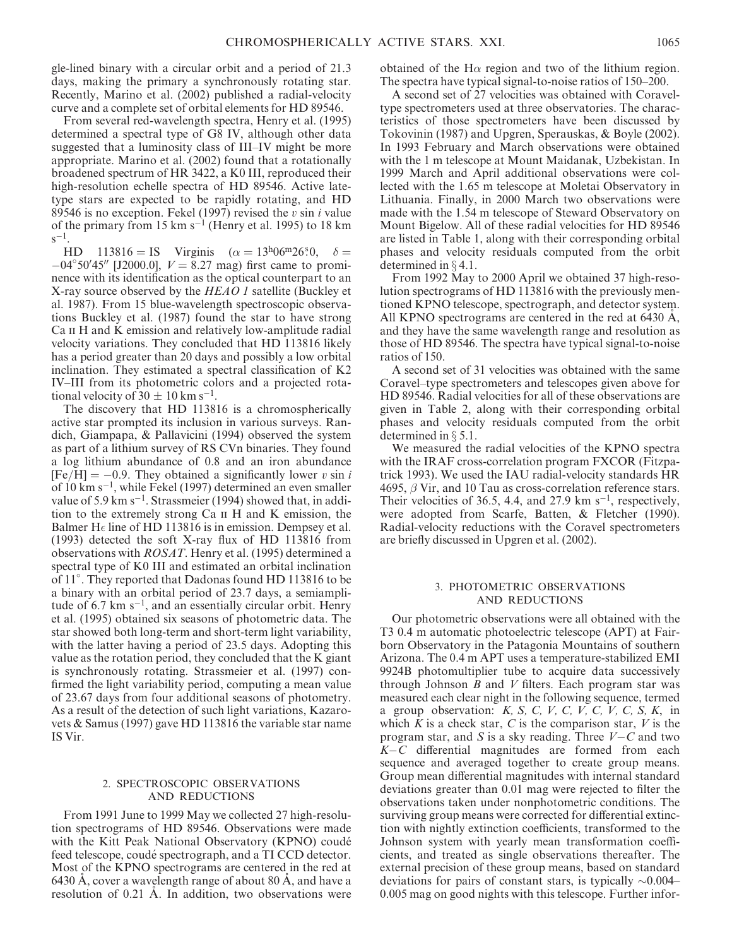gle-lined binary with a circular orbit and a period of 21.3 days, making the primary a synchronously rotating star. Recently, Marino et al. (2002) published a radial-velocity curve and a complete set of orbital elements for HD 89546.

From several red-wavelength spectra, Henry et al. (1995) determined a spectral type of G8 IV, although other data suggested that a luminosity class of III–IV might be more appropriate. Marino et al. (2002) found that a rotationally broadened spectrum of HR 3422, a K0 III, reproduced their high-resolution echelle spectra of HD 89546. Active latetype stars are expected to be rapidly rotating, and HD 89546 is no exception. Fekel (1997) revised the  $v \sin i$  value of the primary from 15  $\text{km s}^{-1}$  (Henry et al. 1995) to 18  $\text{km s}$  $s^{-1}$ .

HD  $113816 = IS$  Virginis  $(\alpha = 13^{h}06^{m}26^{s}0, \delta =$  $-04^{\circ}50'45''$  [J2000.0],  $V = 8.27$  mag) first came to prominence with its identification as the optical counterpart to an X-ray source observed by the HEAO 1 satellite (Buckley et al. 1987). From 15 blue-wavelength spectroscopic observations Buckley et al. (1987) found the star to have strong Ca II H and K emission and relatively low-amplitude radial velocity variations. They concluded that HD 113816 likely has a period greater than 20 days and possibly a low orbital inclination. They estimated a spectral classification of K2 IV–III from its photometric colors and a projected rotational velocity of  $30 \pm 10$  km s<sup>-1</sup>.

The discovery that HD 113816 is a chromospherically active star prompted its inclusion in various surveys. Randich, Giampapa, & Pallavicini (1994) observed the system as part of a lithium survey of RS CVn binaries. They found a log lithium abundance of 0.8 and an iron abundance  $[Fe/H] = -0.9$ . They obtained a significantly lower v sin i of 10 km s-1, while Fekel (1997) determined an even smaller value of 5.9 km s<sup>-1</sup>. Strassmeier (1994) showed that, in addition to the extremely strong Ca ii H and K emission, the Balmer H $\epsilon$  line of HD 113816 is in emission. Dempsey et al. (1993) detected the soft X-ray flux of HD 113816 from observations with ROSAT. Henry et al. (1995) determined a spectral type of K0 III and estimated an orbital inclination of 11 . They reported that Dadonas found HD 113816 to be a binary with an orbital period of 23.7 days, a semiamplitude of  $6.7 \text{ km s}^{-1}$ , and an essentially circular orbit. Henry et al. (1995) obtained six seasons of photometric data. The star showed both long-term and short-term light variability, with the latter having a period of 23.5 days. Adopting this value as the rotation period, they concluded that the K giant is synchronously rotating. Strassmeier et al. (1997) confirmed the light variability period, computing a mean value of 23.67 days from four additional seasons of photometry. As a result of the detection of such light variations, Kazarovets & Samus (1997) gave HD 113816 the variable star name IS Vir.

#### 2. SPECTROSCOPIC OBSERVATIONS AND REDUCTIONS

From 1991 June to 1999 May we collected 27 high-resolution spectrograms of HD 89546. Observations were made with the Kitt Peak National Observatory (KPNO) coudé feed telescope, coudé spectrograph, and a TI CCD detector. Most of the KPNO spectrograms are centered in the red at 6430 A, cover a wavelength range of about 80 A, and have a resolution of 0.21 A. In addition, two observations were obtained of the H $\alpha$  region and two of the lithium region. The spectra have typical signal-to-noise ratios of 150–200.

A second set of 27 velocities was obtained with Coraveltype spectrometers used at three observatories. The characteristics of those spectrometers have been discussed by Tokovinin (1987) and Upgren, Sperauskas, & Boyle (2002). In 1993 February and March observations were obtained with the 1 m telescope at Mount Maidanak, Uzbekistan. In 1999 March and April additional observations were collected with the 1.65 m telescope at Moletai Observatory in Lithuania. Finally, in 2000 March two observations were made with the 1.54 m telescope of Steward Observatory on Mount Bigelow. All of these radial velocities for HD 89546 are listed in Table 1, along with their corresponding orbital phases and velocity residuals computed from the orbit determined in  $\S$  4.1.

From 1992 May to 2000 April we obtained 37 high-resolution spectrograms of HD 113816 with the previously mentioned KPNO telescope, spectrograph, and detector system. All KPNO spectrograms are centered in the red at  $6430 \text{ Å}$ , and they have the same wavelength range and resolution as those of HD 89546. The spectra have typical signal-to-noise ratios of 150.

A second set of 31 velocities was obtained with the same Coravel–type spectrometers and telescopes given above for HD 89546. Radial velocities for all of these observations are given in Table 2, along with their corresponding orbital phases and velocity residuals computed from the orbit determined in  $\S 5.1$ .

We measured the radial velocities of the KPNO spectra with the IRAF cross-correlation program FXCOR (Fitzpatrick 1993). We used the IAU radial-velocity standards HR 4695,  $\beta$  Vir, and 10 Tau as cross-correlation reference stars. Their velocities of 36.5, 4.4, and 27.9  $km s^{-1}$ , respectively, were adopted from Scarfe, Batten, & Fletcher (1990). Radial-velocity reductions with the Coravel spectrometers are briefly discussed in Upgren et al. (2002).

#### 3. PHOTOMETRIC OBSERVATIONS AND REDUCTIONS

Our photometric observations were all obtained with the T3 0.4 m automatic photoelectric telescope (APT) at Fairborn Observatory in the Patagonia Mountains of southern Arizona. The 0.4 m APT uses a temperature-stabilized EMI 9924B photomultiplier tube to acquire data successively through Johnson  $B$  and  $V$  filters. Each program star was measured each clear night in the following sequence, termed a group observation:  $K$ ,  $S$ ,  $C$ ,  $V$ ,  $C$ ,  $V$ ,  $C$ ,  $V$ ,  $C$ ,  $S$ ,  $K$ , in which  $K$  is a check star,  $C$  is the comparison star,  $V$  is the program star, and S is a sky reading. Three  $V - C$  and two K-C differential magnitudes are formed from each sequence and averaged together to create group means. Group mean differential magnitudes with internal standard deviations greater than 0.01 mag were rejected to filter the observations taken under nonphotometric conditions. The surviving group means were corrected for differential extinction with nightly extinction coefficients, transformed to the Johnson system with yearly mean transformation coefficients, and treated as single observations thereafter. The external precision of these group means, based on standard deviations for pairs of constant stars, is typically  $\sim 0.004-$ 0.005 mag on good nights with this telescope. Further infor-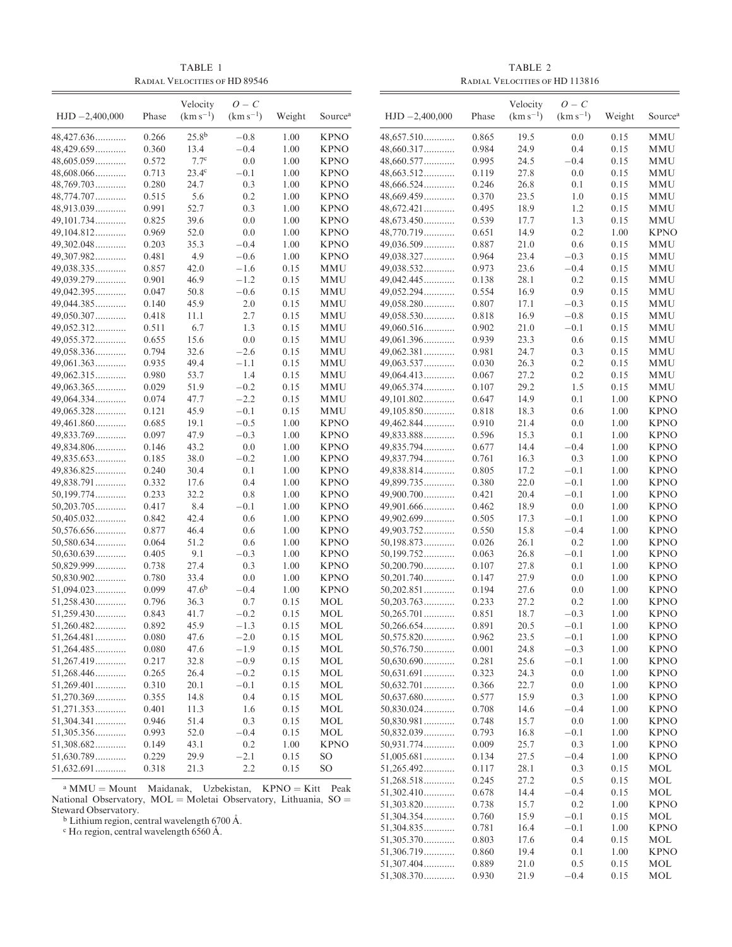TABLE 1 Radial Velocities of HD 89546

TABLE 2 Radial Velocities of HD 113816

|                                                                                                                    |                | Velocity          | $O - C$          |              |                     |                              |                | Velocity      | $O - C$          |              |                            |
|--------------------------------------------------------------------------------------------------------------------|----------------|-------------------|------------------|--------------|---------------------|------------------------------|----------------|---------------|------------------|--------------|----------------------------|
| $HJD - 2,400,000$                                                                                                  | Phase          | $(km s^{-1})$     | $(km s^{-1})$    | Weight       | Source <sup>a</sup> | $HJD - 2,400,000$            | Phase          | $(km s^{-1})$ | $(km s^{-1})$    | Weight       | Source <sup>a</sup>        |
| 48,427.636                                                                                                         | 0.266          | 25.8 <sup>b</sup> | $-0.8$           | 1.00         | <b>KPNO</b>         | $48,657.510$                 | 0.865          | 19.5          | 0.0              | 0.15         | MMU                        |
| 48,429.659                                                                                                         | 0.360          | 13.4              | $-0.4$           | 1.00         | <b>KPNO</b>         | 48,660.317                   | 0.984          | 24.9          | 0.4              | 0.15         | MMU                        |
| $48,605.059\dots\dots\dots$                                                                                        | 0.572          | 7.7 <sup>c</sup>  | 0.0              | 1.00         | <b>KPNO</b>         | $48,660.577$                 | 0.995          | 24.5          | $-0.4$           | 0.15         | MMU                        |
| 48,608.066                                                                                                         | 0.713          | $23.4^\circ$      | $-0.1$           | 1.00         | <b>KPNO</b>         | $48,663.512$                 | 0.119          | 27.8          | 0.0              | 0.15         | MMU                        |
| $48,769.703$                                                                                                       | 0.280          | 24.7              | 0.3              | 1.00         | <b>KPNO</b>         | $48,666.524$                 | 0.246          | 26.8          | 0.1              | 0.15         | MMU                        |
| 48,774.707                                                                                                         | 0.515          | 5.6               | 0.2              | 1.00         | <b>KPNO</b>         | 48,669.459                   | 0.370          | 23.5          | 1.0              | 0.15         | MMU                        |
| 48,913.039                                                                                                         | 0.991          | 52.7              | 0.3              | 1.00         | <b>KPNO</b>         | $48,672.421$                 | 0.495          | 18.9          | 1.2              | 0.15         | MMU                        |
| 49,101.734                                                                                                         | 0.825          | 39.6              | 0.0              | 1.00         | <b>KPNO</b>         | $48,673.450$                 | 0.539          | 17.7          | 1.3              | 0.15         | MMU                        |
| 49,104.812                                                                                                         | 0.969          | 52.0              | 0.0              | 1.00         | <b>KPNO</b>         | 48,770.719                   | 0.651          | 14.9          | 0.2              | 1.00         | <b>KPNO</b>                |
| 49,302.048                                                                                                         | 0.203          | 35.3              | $-0.4$           | 1.00         | <b>KPNO</b>         | 49,036.509                   | 0.887          | 21.0          | 0.6              | 0.15         | MMU                        |
| 49,307.982                                                                                                         | 0.481          | 4.9               | $-0.6$           | 1.00         | <b>KPNO</b>         | 49,038.327                   | 0.964          | 23.4          | $-0.3$           | 0.15         | MMU                        |
| 49,038.335                                                                                                         | 0.857          | 42.0              | $-1.6$           | 0.15         | MMU                 | 49,038.532                   | 0.973          | 23.6          | $-0.4$           | 0.15         | MMU                        |
| 49,039.279                                                                                                         | 0.901          | 46.9              | $-1.2$           | 0.15         | MMU                 | 49,042.445                   | 0.138          | 28.1          | 0.2              | 0.15         | MMU                        |
| 49,042.395                                                                                                         | 0.047          | 50.8              | $-0.6$           | 0.15         | MMU                 | 49,052.294                   | 0.554          | 16.9          | 0.9              | 0.15         | MMU                        |
| 49,044.385                                                                                                         | 0.140          | 45.9              | 2.0              | 0.15         | MMU                 | $49,058.280$                 | 0.807          | 17.1          | $-0.3$           | 0.15         | MMU                        |
| 49,050.307                                                                                                         | 0.418          | 11.1              | 2.7              | 0.15         | MMU                 | 49,058.530                   | 0.818          | 16.9          | $-0.8$           | 0.15         | MMU                        |
| 49,052.312                                                                                                         | 0.511          | 6.7               | 1.3              | 0.15         | MMU                 | $49,060.516$                 | 0.902          | 21.0          | $-0.1$           | 0.15         | MMU                        |
| 49,055.372                                                                                                         | 0.655          | 15.6              | 0.0              | 0.15         | MMU                 | 49,061.396                   | 0.939          | 23.3          | 0.6              | 0.15         | MMU                        |
| 49,058.336                                                                                                         | 0.794          | 32.6              | $-2.6$           | 0.15         | MMU                 | 49,062.381                   | 0.981          | 24.7          | 0.3              | 0.15         | MMU                        |
| 49,061.363                                                                                                         | 0.935          | 49.4              | $-1.1$           | 0.15         | MMU                 | 49,063.537                   | 0.030          | 26.3          | 0.2              | 0.15         | MMU                        |
| 49,062.315                                                                                                         | 0.980          | 53.7              | 1.4              | 0.15         | MMU                 | 49,064.413                   | 0.067          | 27.2          | 0.2              | 0.15         | <b>MMU</b>                 |
| 49,063.365                                                                                                         | 0.029          | 51.9              | $-0.2$           | 0.15         | MMU                 | 49,065.374                   | 0.107          | 29.2          | 1.5              | 0.15         | MMU                        |
| 49,064.334                                                                                                         | 0.074          | 47.7              | $-2.2$           | 0.15         | <b>MMU</b>          | 49,101.802                   | 0.647          | 14.9          | 0.1              | 1.00         | <b>KPNO</b>                |
| 49,065.328                                                                                                         | 0.121          | 45.9              | $-0.1$           | 0.15         | MMU                 | $49,105.850$                 | 0.818          | 18.3          | 0.6              | 1.00         | <b>KPNO</b>                |
| 49,461.860                                                                                                         | 0.685          | 19.1              | $-0.5$           | 1.00         | <b>KPNO</b>         | 49,462.844                   | 0.910          | 21.4          | 0.0              | 1.00         | <b>KPNO</b>                |
| 49,833.769                                                                                                         | 0.097          | 47.9              | $-0.3$           | 1.00         | <b>KPNO</b>         | 49,833.888                   | 0.596          | 15.3          | 0.1              | 1.00         | <b>KPNO</b>                |
| 49,834.806                                                                                                         | 0.146          | 43.2              | 0.0              | 1.00         | <b>KPNO</b>         | 49,835.794                   | 0.677          | 14.4          | $-0.4$           | 1.00         | <b>KPNO</b>                |
| 49,835.653                                                                                                         | 0.185          | 38.0              | $-0.2$           | 1.00         | <b>KPNO</b>         | 49,837.794                   | 0.761          | 16.3          | 0.3              | 1.00         | <b>KPNO</b>                |
| 49,836.825                                                                                                         | 0.240          | 30.4              | 0.1              | 1.00         | <b>KPNO</b>         | 49,838.814                   | 0.805          | 17.2          | $-0.1$           | 1.00         | <b>KPNO</b>                |
| 49,838.791                                                                                                         | 0.332          | 17.6              | 0.4              | 1.00         | <b>KPNO</b>         | 49,899.735                   | 0.380          | 22.0          | $-0.1$           | 1.00         | <b>KPNO</b>                |
| 50,199.774                                                                                                         | 0.233          | 32.2              | 0.8              | 1.00         | <b>KPNO</b>         | 49,900.700                   | 0.421          | 20.4          | $-0.1$           | 1.00         | <b>KPNO</b>                |
| $50,203.705$                                                                                                       | 0.417          | 8.4               | $-0.1$           | 1.00         | <b>KPNO</b>         | 49,901.666                   | 0.462          | 18.9          | 0.0              | 1.00         | <b>KPNO</b>                |
| 50,405.032                                                                                                         | 0.842          | 42.4              | 0.6              | 1.00         | <b>KPNO</b>         | 49,902.699                   | 0.505          | 17.3          | $-0.1$           | 1.00         | <b>KPNO</b>                |
| 50,576.656                                                                                                         | 0.877          | 46.4              | 0.6              | 1.00         | <b>KPNO</b>         | 49,903.752                   | 0.550          | 15.8          | $-0.4$           | 1.00         | <b>KPNO</b>                |
| $50,580.634$                                                                                                       | 0.064          | 51.2              | 0.6              | 1.00         | <b>KPNO</b>         | 50,198.873                   | 0.026          | 26.1          | 0.2              | 1.00         | <b>KPNO</b>                |
| 50,630.639                                                                                                         | 0.405          | 9.1               | $-0.3$           | 1.00         | <b>KPNO</b>         | 50,199.752                   | 0.063          | 26.8          | $-0.1$           | 1.00         | <b>KPNO</b>                |
| $50,829.999$                                                                                                       | 0.738          | 27.4              | 0.3              | 1.00         | <b>KPNO</b>         | $50,200.790$                 | 0.107          | 27.8          | 0.1              | 1.00         | <b>KPNO</b>                |
| $50,830.902$                                                                                                       | 0.780          | 33.4              | 0.0              | 1.00         | <b>KPNO</b>         | $50,201.740$                 | 0.147          | 27.9          | 0.0              | 1.00         | <b>KPNO</b>                |
| $51,094.023$                                                                                                       | 0.099          | $47.6^{b}$        | $-0.4$           | 1.00         | <b>KPNO</b>         | $50,202.851$                 | 0.194          | 27.6          | 0.0              | 1.00         | <b>KPNO</b>                |
| 51,258.430                                                                                                         | 0.796          | 36.3              | 0.7              | 0.15         | MOL                 | $50,203.763$                 | 0.233          | 27.2          | 0.2              | 1.00         | <b>KPNO</b>                |
| 51,259.430                                                                                                         | 0.843          | 41.7              | $-0.2$           | 0.15         | <b>MOL</b>          | $50,265.701$                 | 0.851          | 18.7          | $-0.3$           | 1.00         | <b>KPNO</b>                |
| $51,260.482$<br>$51,264.481$                                                                                       | 0.892          | 45.9              | $-1.3$           | 0.15         | MOL                 | $50,266.654$<br>$50,575.820$ | 0.891          | 20.5          | $-0.1$<br>$-0.1$ | 1.00         | <b>KPNO</b>                |
| 51,264.485                                                                                                         | 0.080          | 47.6              | $-2.0$<br>$-1.9$ | 0.15         | MOL                 |                              | 0.962          | 23.5          | $-0.3$           | 1.00         | <b>KPNO</b>                |
| $51,267.419$                                                                                                       | 0.080<br>0.217 | 47.6<br>32.8      | $-0.9$           | 0.15         | MOL<br>MOL          | $50,576.750$<br>$50,630.690$ | 0.001<br>0.281 | 24.8<br>25.6  | $-0.1$           | 1.00<br>1.00 | <b>KPNO</b><br><b>KPNO</b> |
| 51,268.446                                                                                                         | 0.265          | 26.4              | $-0.2$           | 0.15<br>0.15 | MOL                 | $50,631.691$                 | 0.323          | 24.3          | 0.0              | 1.00         | <b>KPNO</b>                |
| $51,269.401$                                                                                                       |                | 20.1              | $-0.1$           |              | MOL                 | $50,632.701$                 |                | 22.7          |                  | 1.00         | <b>KPNO</b>                |
| 51,270.369                                                                                                         | 0.310          | 14.8              | 0.4              | 0.15         | MOL                 | $50,637.680$                 | 0.366<br>0.577 | 15.9          | 0.0<br>0.3       | 1.00         | <b>KPNO</b>                |
| $51,271.353$                                                                                                       | 0.355<br>0.401 | 11.3              | 1.6              | 0.15<br>0.15 | MOL                 | $50,830.024$                 | 0.708          | 14.6          | $-0.4$           | 1.00         | <b>KPNO</b>                |
| $51,304.341$                                                                                                       | 0.946          | 51.4              | 0.3              | 0.15         | MOL                 | $50,830.981$                 | 0.748          | 15.7          | 0.0              | 1.00         | <b>KPNO</b>                |
| 51,305.356                                                                                                         | 0.993          | 52.0              | $-0.4$           | 0.15         | MOL                 | $50,832.039$                 | 0.793          | 16.8          | $-0.1$           | 1.00         | <b>KPNO</b>                |
| 51,308.682                                                                                                         | 0.149          | 43.1              | 0.2              | 1.00         | <b>KPNO</b>         | 50,931.774                   | 0.009          | 25.7          | 0.3              | 1.00         | <b>KPNO</b>                |
| 51,630.789                                                                                                         | 0.229          | 29.9              | $-2.1$           | 0.15         | SO                  | $51,005.681$                 | 0.134          | 27.5          | $-0.4$           | 1.00         | <b>KPNO</b>                |
| $51,632.691$                                                                                                       | 0.318          | 21.3              | 2.2              | 0.15         | SO                  | 51,265.492                   | 0.117          | 28.1          | 0.3              | 0.15         | MOL                        |
|                                                                                                                    |                |                   |                  |              |                     | $51,268.518$                 | 0.245          | 27.2          | 0.5              | 0.15         | MOL                        |
| <sup>a</sup> MMU = Mount Maidanak, Uzbekistan, KPNO = Kitt Peak                                                    |                |                   |                  |              |                     | $51,302.410$                 | 0.678          | 14.4          | $-0.4$           | 0.15         | MOL                        |
| National Observatory, $MOL = Moletai$ Observatory, Lithuania, $SO =$                                               |                |                   |                  |              |                     | 51,303.820                   | 0.738          | 15.7          | 0.2              | 1.00         | <b>KPNO</b>                |
| Steward Observatory.                                                                                               |                |                   |                  |              |                     | $51,304.354$                 | 0.760          | 15.9          | $-0.1$           | 0.15         | MOL                        |
| $b$ Lithium region, central wavelength 6700 Å.<br>$C$ H <sub>o</sub> region central wavelength 6560 $\dot{\Delta}$ |                |                   |                  |              |                     | 51,304.835                   | 0.781          | 16.4          | $-0.1$           | 1.00         | <b>KPNO</b>                |

 $51,304.835$ ............

 $51,308.370$ ............

51,305.370............ 0.803 17.6 0.4 0.15 MOL 51,306.719............ 0.860 19.4 0.1 1.00 KPNO

 $\begin{array}{cccc} 51,307.404\ldots\ldots\ldots\ldots & 0.889 & 21.0 & 0.5 & 0.15 \\ 51,308.370\ldots\ldots\ldots\ldots & 0.930 & 21.9 & -0.4 & 0.15 \end{array}$ 

 $MOL$ 

 $\epsilon$  H $\alpha$  region, central wavelength 6560 Å.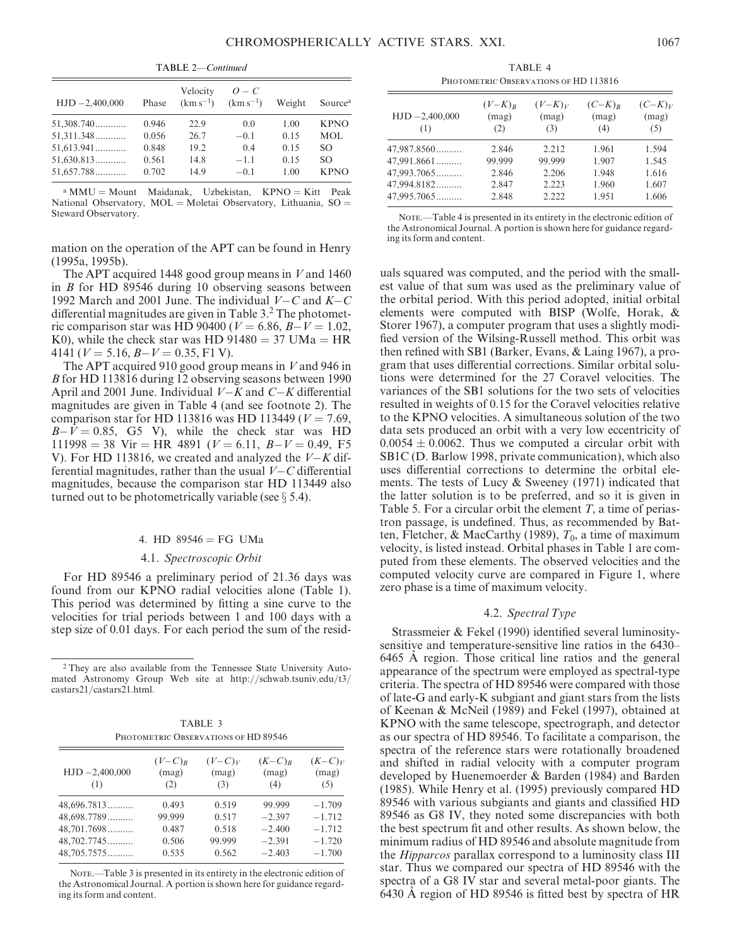TABLE 2—Continued

| $HJD - 2,400,000$          | Phase          | Velocity<br>$(km s^{-1})$ | $O-C$<br>$(km s^{-1})$ | Weight       | Source <sup>a</sup> |
|----------------------------|----------------|---------------------------|------------------------|--------------|---------------------|
| $51,308.740$               | 0.946          | 22.9                      | 0.0                    | 1.00         | <b>KPNO</b>         |
| $51,311.348$               | 0.056          | 26.7                      | $-0.1$                 | 0.15         | MOL                 |
| $51,613.941$               | 0.848          | 19.2                      | 0.4                    | 0.15         | SO.                 |
| 51,630.813<br>$51,657.788$ | 0.561<br>0.702 | 14.8<br>14.9              | $-1.1$<br>$-0.1$       | 0.15<br>1.00 | SO.<br><b>KPNO</b>  |
|                            |                |                           |                        |              |                     |

 $a$  MMU = Mount Maidanak, Uzbekistan, KPNO = Kitt Peak National Observatory,  $MOL = Moletai$  Observatory, Lithuania,  $SO =$ Steward Observatory.

mation on the operation of the APT can be found in Henry (1995a, 1995b).

The APT acquired 1448 good group means in  $V$  and 1460 in B for HD 89546 during 10 observing seasons between 1992 March and 2001 June. The individual  $V - C$  and  $K - C$ differential magnitudes are given in Table 3.<sup>2</sup> The photometric comparison star was HD 90400 ( $V = 6.86, B - V = 1.02$ , K0), while the check star was HD  $91480 = 37$  UMa = HR 4141 ( $V = 5.16, B - V = 0.35, F1$  V).

The APT acquired 910 good group means in V and 946 in B for HD 113816 during 12 observing seasons between 1990 April and 2001 June. Individual  $V-K$  and  $C-K$  differential magnitudes are given in Table 4 (and see footnote 2). The comparison star for HD 113816 was HD 113449 ( $V = 7.69$ ,  $B-V = 0.85$ , G5 V), while the check star was HD  $111998 = 38$  Vir = HR 4891 ( $V = 6.11$ ,  $B-V = 0.49$ , F5 V). For HD 113816, we created and analyzed the  $V-K$  differential magnitudes, rather than the usual  $V-C$  differential magnitudes, because the comparison star HD 113449 also turned out to be photometrically variable (see  $\S$  5.4).

#### 4. HD  $89546 = FG$  UMa

#### 4.1. Spectroscopic Orbit

For HD 89546 a preliminary period of 21.36 days was found from our KPNO radial velocities alone (Table 1). This period was determined by fitting a sine curve to the velocities for trial periods between 1 and 100 days with a step size of 0.01 days. For each period the sum of the resid-

<sup>2</sup> They are also available from the Tennessee State University Automated Astronomy Group Web site at http://schwab.tsuniv.edu/t3/ castars21/castars21.html.

| TABLE 3                              |
|--------------------------------------|
| PHOTOMETRIC OBSERVATIONS OF HD 89546 |

| $HJD - 2,400,000$<br>(1) | $(V-C)R$<br>(mag)<br>(2) | $(V-C)V$<br>(mag)<br>(3) | $(K-C)R$<br>(mag)<br>(4) | $(K-C)V$<br>(mag)<br>(5) |
|--------------------------|--------------------------|--------------------------|--------------------------|--------------------------|
| 48,696.7813              | 0.493                    | 0.519                    | 99.999                   | $-1.709$                 |
| 48,698.7789              | 99.999                   | 0.517                    | $-2.397$                 | $-1.712$                 |
| 48,701.7698              | 0.487                    | 0.518                    | $-2.400$                 | $-1.712$                 |
| $48,702,7745$            | 0.506                    | 99.999                   | $-2.391$                 | $-1.720$                 |
| 48,705.7575              | 0.535                    | 0.562                    | $-2.403$                 | $-1.700$                 |

NOTE.—Table 3 is presented in its entirety in the electronic edition of the Astronomical Journal. A portion is shown here for guidance regarding its form and content.

TABLE 4 PHOTOMETRIC OBSERVATIONS OF HD 113816

| $HJD - 2,400,000$<br>(1) | $(V-K)_R$<br>(mag)<br>(2) | $(V-K)_V$<br>(mag)<br>(3) | $(C-K)_R$<br>(mag)<br>(4) | $(C-K)V$<br>(mag)<br>(5) |
|--------------------------|---------------------------|---------------------------|---------------------------|--------------------------|
| 47,987.8560              | 2.846                     | 2.212                     | 1.961                     | 1.594                    |
| 47,991.8661              | 99.999                    | 99.999                    | 1.907                     | 1.545                    |
| 47,993.7065              | 2.846                     | 2.206                     | 1.948                     | 1.616                    |
| 47,994.8182              | 2.847                     | 2.223                     | 1.960                     | 1.607                    |
| 47,995.7065              | 2.848                     | 2.222                     | 1.951                     | 1.606                    |

NOTE.—Table 4 is presented in its entirety in the electronic edition of the Astronomical Journal. A portion is shown here for guidance regarding its form and content.

uals squared was computed, and the period with the smallest value of that sum was used as the preliminary value of the orbital period. With this period adopted, initial orbital elements were computed with BISP (Wolfe, Horak, & Storer 1967), a computer program that uses a slightly modified version of the Wilsing-Russell method. This orbit was then refined with SB1 (Barker, Evans, & Laing 1967), a program that uses differential corrections. Similar orbital solutions were determined for the 27 Coravel velocities. The variances of the SB1 solutions for the two sets of velocities resulted in weights of 0.15 for the Coravel velocities relative to the KPNO velocities. A simultaneous solution of the two data sets produced an orbit with a very low eccentricity of  $0.0054 \pm 0.0062$ . Thus we computed a circular orbit with SB1C (D. Barlow 1998, private communication), which also uses differential corrections to determine the orbital elements. The tests of Lucy & Sweeney (1971) indicated that the latter solution is to be preferred, and so it is given in Table 5. For a circular orbit the element  $T$ , a time of periastron passage, is undefined. Thus, as recommended by Batten, Fletcher, & MacCarthy (1989),  $T_0$ , a time of maximum velocity, is listed instead. Orbital phases in Table 1 are computed from these elements. The observed velocities and the computed velocity curve are compared in Figure 1, where zero phase is a time of maximum velocity.

#### 4.2. Spectral Type

Strassmeier & Fekel (1990) identified several luminositysensitive and temperature-sensitive line ratios in the 6430– 6465 A region. Those critical line ratios and the general appearance of the spectrum were employed as spectral-type criteria. The spectra of HD 89546 were compared with those of late-G and early-K subgiant and giant stars from the lists of Keenan & McNeil (1989) and Fekel (1997), obtained at KPNO with the same telescope, spectrograph, and detector as our spectra of HD 89546. To facilitate a comparison, the spectra of the reference stars were rotationally broadened and shifted in radial velocity with a computer program developed by Huenemoerder & Barden (1984) and Barden (1985). While Henry et al. (1995) previously compared HD 89546 with various subgiants and giants and classified HD 89546 as G8 IV, they noted some discrepancies with both the best spectrum fit and other results. As shown below, the minimum radius of HD 89546 and absolute magnitude from the *Hipparcos* parallax correspond to a luminosity class III star. Thus we compared our spectra of HD 89546 with the spectra of a G8 IV star and several metal-poor giants. The 6430 A region of HD 89546 is fitted best by spectra of HR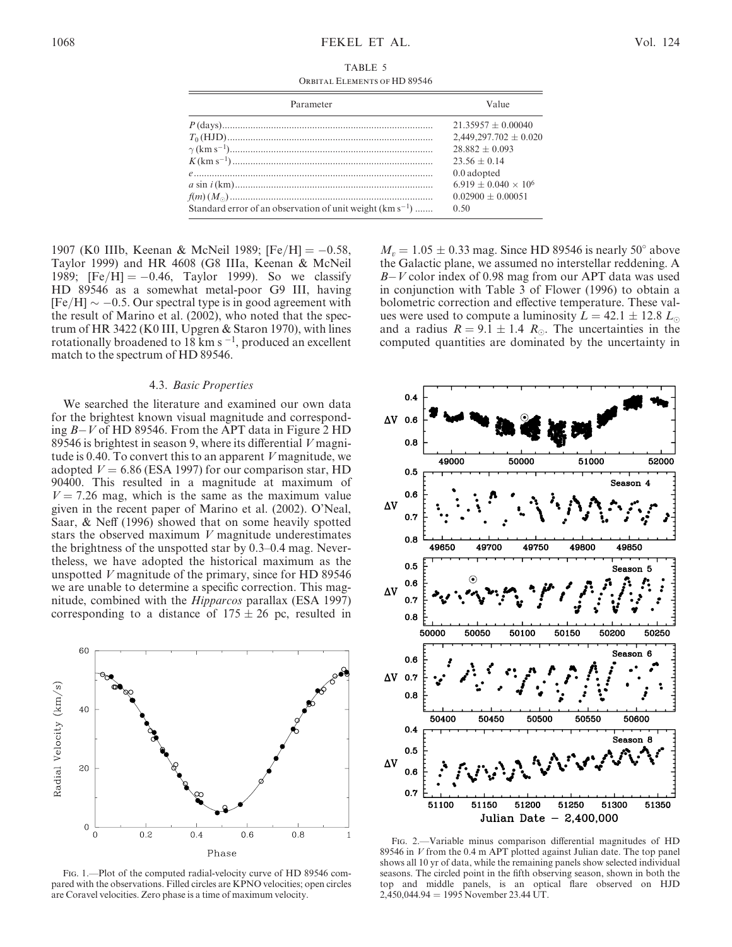TABLE 5 Orbital Elements of HD 89546

| Parameter                                                     | Value                       |  |  |
|---------------------------------------------------------------|-----------------------------|--|--|
|                                                               | $21.35957 + 0.00040$        |  |  |
|                                                               | $2,449,297.702 \pm 0.020$   |  |  |
|                                                               | $28.882 + 0.093$            |  |  |
|                                                               | $23.56 + 0.14$              |  |  |
|                                                               | 0.0 adopted                 |  |  |
|                                                               | $6.919 + 0.040 \times 10^6$ |  |  |
|                                                               | $0.02900 + 0.00051$         |  |  |
| Standard error of an observation of unit weight $(km s^{-1})$ | 0.50                        |  |  |

1907 (K0 IIIb, Keenan & McNeil 1989; [Fe/H] =  $-0.58$ , Taylor 1999) and HR 4608 (G8 IIIa, Keenan & McNeil 1989;  $[Fe/H] = -0.46$ , Taylor 1999). So we classify HD 89546 as a somewhat metal-poor G9 III, having  $[Fe/H] \sim -0.5$ . Our spectral type is in good agreement with the result of Marino et al. (2002), who noted that the spectrum of HR 3422 (K0 III, Upgren & Staron 1970), with lines rotationally broadened to 18 km s<sup> $-1$ </sup>, produced an excellent match to the spectrum of HD 89546.

#### 4.3. Basic Properties

We searched the literature and examined our own data for the brightest known visual magnitude and corresponding B-V of HD 89546. From the APT data in Figure 2 HD 89546 is brightest in season 9, where its differential V magnitude is 0.40. To convert this to an apparent V magnitude, we adopted  $V = 6.86$  (ESA 1997) for our comparison star, HD 90400. This resulted in a magnitude at maximum of  $V = 7.26$  mag, which is the same as the maximum value given in the recent paper of Marino et al. (2002). O'Neal, Saar, & Neff (1996) showed that on some heavily spotted stars the observed maximum  $V$  magnitude underestimates the brightness of the unspotted star by 0.3–0.4 mag. Nevertheless, we have adopted the historical maximum as the unspotted V magnitude of the primary, since for HD 89546 we are unable to determine a specific correction. This magnitude, combined with the Hipparcos parallax (ESA 1997) corresponding to a distance of  $175 \pm 26$  pc, resulted in



Fig. 1.—Plot of the computed radial-velocity curve of HD 89546 compared with the observations. Filled circles are KPNO velocities; open circles are Coravel velocities. Zero phase is a time of maximum velocity.

 $M_v = 1.05 \pm 0.33$  mag. Since HD 89546 is nearly 50° above the Galactic plane, we assumed no interstellar reddening. A B-V color index of 0.98 mag from our APT data was used in conjunction with Table 3 of Flower (1996) to obtain a bolometric correction and effective temperature. These values were used to compute a luminosity  $L = 42.1 \pm 12.8$   $L_{\odot}$ and a radius  $R = 9.1 \pm 1.4$  R<sub>o</sub>. The uncertainties in the computed quantities are dominated by the uncertainty in



Fig. 2.—Variable minus comparison differential magnitudes of HD 89546 in  $V$  from the 0.4 m APT plotted against Julian date. The top panel shows all 10 yr of data, while the remaining panels show selected individual seasons. The circled point in the fifth observing season, shown in both the top and middle panels, is an optical flare observed on HJD  $2,450,044.94 = 1995$  November 23.44 UT.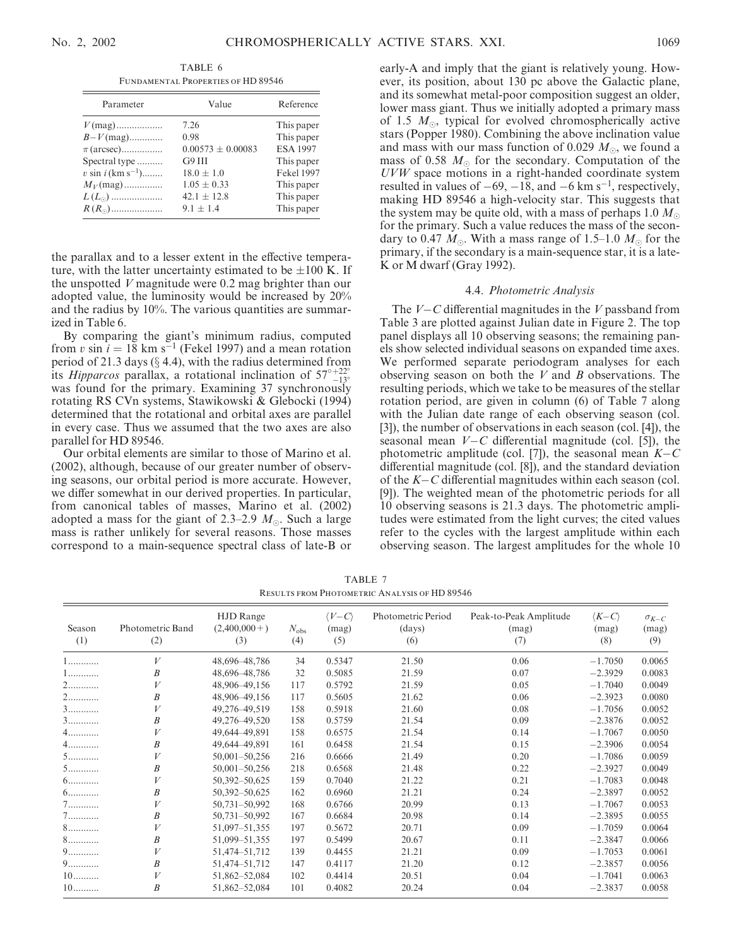TABLE 6 Fundamental Properties of HD 89546

| Parameter                        | Value                 | Reference         |
|----------------------------------|-----------------------|-------------------|
| $V$ (mag)                        | 7.26                  | This paper        |
| $B-V$ (mag)                      | 0.98                  | This paper        |
| $\pi$ (arcsec)                   | $0.00573 \pm 0.00083$ | <b>ESA 1997</b>   |
| Spectral type                    | $G9$ $III$            | This paper        |
| $v \sin i$ (km s <sup>-1</sup> ) | $18.0 \pm 1.0$        | <b>Fekel 1997</b> |
| $M_V$ (mag)                      | $1.05 \pm 0.33$       | This paper        |
| $L(L_{\odot})$                   | $42.1 \pm 12.8$       | This paper        |
| $R(R_{\odot})$                   | $9.1 + 1.4$           | This paper        |

the parallax and to a lesser extent in the effective temperature, with the latter uncertainty estimated to be  $\pm 100$  K. If the unspotted V magnitude were 0.2 mag brighter than our adopted value, the luminosity would be increased by 20% and the radius by 10%. The various quantities are summarized in Table 6.

By comparing the giant's minimum radius, computed from v sin  $i = 18$  km s<sup>-1</sup> (Fekel 1997) and a mean rotation period of 21.3 days  $(\S$  4.4), with the radius determined from its *Hipparcos* parallax, a rotational inclination of  $57^{\circ}{}_{-13^{\circ}}^{+22^{\circ}}$ the *Inpparcos* paranax, a rotational inclination of  $37 \frac{1}{13}$  was found for the primary. Examining 37 synchronously rotating RS CVn systems, Stawikowski & Glebocki (1994) determined that the rotational and orbital axes are parallel in every case. Thus we assumed that the two axes are also parallel for HD 89546.

Our orbital elements are similar to those of Marino et al. (2002), although, because of our greater number of observing seasons, our orbital period is more accurate. However, we differ somewhat in our derived properties. In particular, from canonical tables of masses, Marino et al. (2002) adopted a mass for the giant of 2.3–2.9  $M_{\odot}$ . Such a large mass is rather unlikely for several reasons. Those masses correspond to a main-sequence spectral class of late-B or

early-A and imply that the giant is relatively young. However, its position, about 130 pc above the Galactic plane, and its somewhat metal-poor composition suggest an older, lower mass giant. Thus we initially adopted a primary mass of 1.5  $M_{\odot}$ , typical for evolved chromospherically active stars (Popper 1980). Combining the above inclination value and mass with our mass function of 0.029  $M_{\odot}$ , we found a mass of 0.58  $M_{\odot}$  for the secondary. Computation of the UVW space motions in a right-handed coordinate system resulted in values of  $-69$ ,  $-18$ , and  $-6$  km s<sup>-1</sup>, respectively, making HD 89546 a high-velocity star. This suggests that the system may be quite old, with a mass of perhaps 1.0  $M_{\odot}$ for the primary. Such a value reduces the mass of the secondary to 0.47  $M_{\odot}$ . With a mass range of 1.5–1.0  $M_{\odot}$  for the primary, if the secondary is a main-sequence star, it is a late-K or M dwarf (Gray 1992).

#### 4.4. Photometric Analysis

The  $V-C$  differential magnitudes in the V passband from Table 3 are plotted against Julian date in Figure 2. The top panel displays all 10 observing seasons; the remaining panels show selected individual seasons on expanded time axes. We performed separate periodogram analyses for each observing season on both the  $V$  and  $B$  observations. The resulting periods, which we take to be measures of the stellar rotation period, are given in column (6) of Table 7 along with the Julian date range of each observing season (col. [3]), the number of observations in each season (col. [4]), the seasonal mean  $V - C$  differential magnitude (col. [5]), the photometric amplitude (col. [7]), the seasonal mean  $K-C$ differential magnitude (col. [8]), and the standard deviation of the K-C differential magnitudes within each season (col. [9]). The weighted mean of the photometric periods for all 10 observing seasons is 21.3 days. The photometric amplitudes were estimated from the light curves; the cited values refer to the cycles with the largest amplitude within each observing season. The largest amplitudes for the whole 10

|               | <b>RESULTS FROM PHOTOMETRIC ANALYSIS OF HD 89546</b> |                                           |                      |                                         |                                     |                                        |                                         |                                |
|---------------|------------------------------------------------------|-------------------------------------------|----------------------|-----------------------------------------|-------------------------------------|----------------------------------------|-----------------------------------------|--------------------------------|
| Season<br>(1) | Photometric Band<br>(2)                              | <b>HJD</b> Range<br>$(2,400,000+)$<br>(3) | $N_{\rm obs}$<br>(4) | $\langle V - C \rangle$<br>(mag)<br>(5) | Photometric Period<br>(days)<br>(6) | Peak-to-Peak Amplitude<br>(mag)<br>(7) | $\langle K - C \rangle$<br>(mag)<br>(8) | $\sigma_{K-C}$<br>(mag)<br>(9) |
| 1             | V                                                    | 48,696-48,786                             | 34                   | 0.5347                                  | 21.50                               | 0.06                                   | $-1.7050$                               | 0.0065                         |
| 1             | B                                                    | 48,696-48,786                             | 32                   | 0.5085                                  | 21.59                               | 0.07                                   | $-2.3929$                               | 0.0083                         |
| 2             |                                                      | 48,906-49,156                             | 117                  | 0.5792                                  | 21.59                               | 0.05                                   | $-1.7040$                               | 0.0049                         |
| 2.            | B                                                    | 48,906-49,156                             | 117                  | 0.5605                                  | 21.62                               | 0.06                                   | $-2.3923$                               | 0.0080                         |
| $3$           |                                                      | 49,276-49,519                             | 158                  | 0.5918                                  | 21.60                               | 0.08                                   | $-1.7056$                               | 0.0052                         |
| $3$           | B                                                    | 49,276-49,520                             | 158                  | 0.5759                                  | 21.54                               | 0.09                                   | $-2.3876$                               | 0.0052                         |
| $4$           | V                                                    | 49,644-49,891                             | 158                  | 0.6575                                  | 21.54                               | 0.14                                   | $-1.7067$                               | 0.0050                         |
| $4$           | B                                                    | 49,644-49,891                             | 161                  | 0.6458                                  | 21.54                               | 0.15                                   | $-2.3906$                               | 0.0054                         |
| 5.            |                                                      | $50,001 - 50,256$                         | 216                  | 0.6666                                  | 21.49                               | 0.20                                   | $-1.7086$                               | 0.0059                         |
| 5.            | B                                                    | 50,001-50,256                             | 218                  | 0.6568                                  | 21.48                               | 0.22                                   | $-2.3927$                               | 0.0049                         |
| $6$           |                                                      | 50,392-50,625                             | 159                  | 0.7040                                  | 21.22                               | 0.21                                   | $-1.7083$                               | 0.0048                         |
| $6$           | B                                                    | 50,392-50,625                             | 162                  | 0.6960                                  | 21.21                               | 0.24                                   | $-2.3897$                               | 0.0052                         |
| $7$           |                                                      | 50,731-50,992                             | 168                  | 0.6766                                  | 20.99                               | 0.13                                   | $-1.7067$                               | 0.0053                         |
| $7$           | B                                                    | 50,731-50,992                             | 167                  | 0.6684                                  | 20.98                               | 0.14                                   | $-2.3895$                               | 0.0055                         |
| 8.            |                                                      | 51,097-51,355                             | 197                  | 0.5672                                  | 20.71                               | 0.09                                   | $-1.7059$                               | 0.0064                         |
| 8.            | B                                                    | 51,099-51,355                             | 197                  | 0.5499                                  | 20.67                               | 0.11                                   | $-2.3847$                               | 0.0066                         |
| 9.            |                                                      | 51,474-51,712                             | 139                  | 0.4455                                  | 21.21                               | 0.09                                   | $-1.7053$                               | 0.0061                         |
| 9.            | $\boldsymbol{B}$                                     | 51,474-51,712                             | 147                  | 0.4117                                  | 21.20                               | 0.12                                   | $-2.3857$                               | 0.0056                         |
| $10$          |                                                      | 51,862-52,084                             | 102                  | 0.4414                                  | 20.51                               | 0.04                                   | $-1.7041$                               | 0.0063                         |
| $10$          | $\boldsymbol{B}$                                     | 51,862-52,084                             | 101                  | 0.4082                                  | 20.24                               | 0.04                                   | $-2.3837$                               | 0.0058                         |

TABLE 7 Results from Photometric Analysis of HD 89546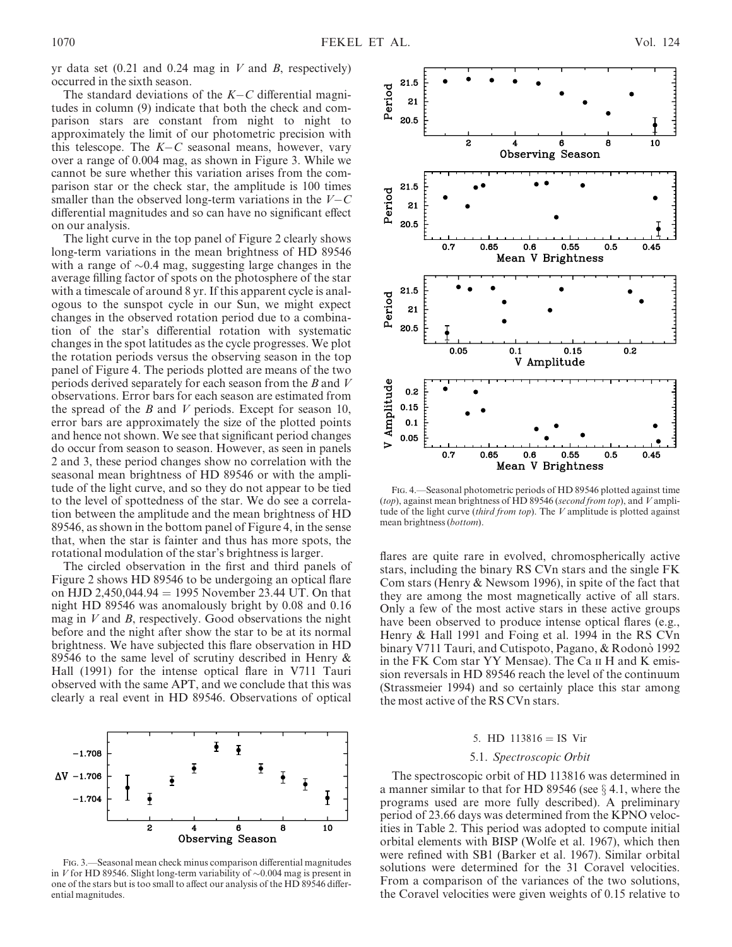yr data set  $(0.21 \text{ and } 0.24 \text{ mag in } V \text{ and } B$ , respectively) occurred in the sixth season.

The standard deviations of the  $K-C$  differential magnitudes in column (9) indicate that both the check and comparison stars are constant from night to night to approximately the limit of our photometric precision with this telescope. The  $K-C$  seasonal means, however, vary over a range of 0.004 mag, as shown in Figure 3. While we cannot be sure whether this variation arises from the comparison star or the check star, the amplitude is 100 times smaller than the observed long-term variations in the  $V-C$ differential magnitudes and so can have no significant effect on our analysis.

The light curve in the top panel of Figure 2 clearly shows long-term variations in the mean brightness of HD 89546 with a range of  $\sim 0.4$  mag, suggesting large changes in the average filling factor of spots on the photosphere of the star with a timescale of around 8 yr. If this apparent cycle is analogous to the sunspot cycle in our Sun, we might expect changes in the observed rotation period due to a combination of the star's differential rotation with systematic changes in the spot latitudes as the cycle progresses. We plot the rotation periods versus the observing season in the top panel of Figure 4. The periods plotted are means of the two periods derived separately for each season from the B and V observations. Error bars for each season are estimated from the spread of the  $B$  and  $V$  periods. Except for season 10, error bars are approximately the size of the plotted points and hence not shown. We see that significant period changes do occur from season to season. However, as seen in panels 2 and 3, these period changes show no correlation with the seasonal mean brightness of HD 89546 or with the amplitude of the light curve, and so they do not appear to be tied to the level of spottedness of the star. We do see a correlation between the amplitude and the mean brightness of HD 89546, as shown in the bottom panel of Figure 4, in the sense that, when the star is fainter and thus has more spots, the rotational modulation of the star's brightness is larger.

The circled observation in the first and third panels of Figure 2 shows HD 89546 to be undergoing an optical flare on HJD 2,450,044.94 = 1995 November 23.44 UT. On that night HD 89546 was anomalously bright by 0.08 and 0.16 mag in  $V$  and  $B$ , respectively. Good observations the night before and the night after show the star to be at its normal brightness. We have subjected this flare observation in HD 89546 to the same level of scrutiny described in Henry & Hall (1991) for the intense optical flare in V711 Tauri observed with the same APT, and we conclude that this was clearly a real event in HD 89546. Observations of optical



Fig. 3.—Seasonal mean check minus comparison differential magnitudes in V for HD 89546. Slight long-term variability of  $\sim$ 0.004 mag is present in one of the stars but is too small to affect our analysis of the HD 89546 differential magnitudes.



Fig. 4.—Seasonal photometric periods of HD 89546 plotted against time (top), against mean brightness of HD 89546 (second from top), and  $V$  amplitude of the light curve (third from top). The  $V$  amplitude is plotted against mean brightness (bottom).

flares are quite rare in evolved, chromospherically active stars, including the binary RS CVn stars and the single FK Com stars (Henry & Newsom 1996), in spite of the fact that they are among the most magnetically active of all stars. Only a few of the most active stars in these active groups have been observed to produce intense optical flares (e.g., Henry & Hall 1991 and Foing et al. 1994 in the RS CVn binary V711 Tauri, and Cutispoto, Pagano, & Rodonò 1992 in the FK Com star YY Mensae). The Ca ii H and K emission reversals in HD 89546 reach the level of the continuum (Strassmeier 1994) and so certainly place this star among the most active of the RS CVn stars.

#### 5. HD  $113816 = IS$  Vir

#### 5.1. Spectroscopic Orbit

The spectroscopic orbit of HD 113816 was determined in a manner similar to that for HD 89546 (see  $\S$  4.1, where the programs used are more fully described). A preliminary period of 23.66 days was determined from the KPNO velocities in Table 2. This period was adopted to compute initial orbital elements with BISP (Wolfe et al. 1967), which then were refined with SB1 (Barker et al. 1967). Similar orbital solutions were determined for the 31 Coravel velocities. From a comparison of the variances of the two solutions, the Coravel velocities were given weights of 0.15 relative to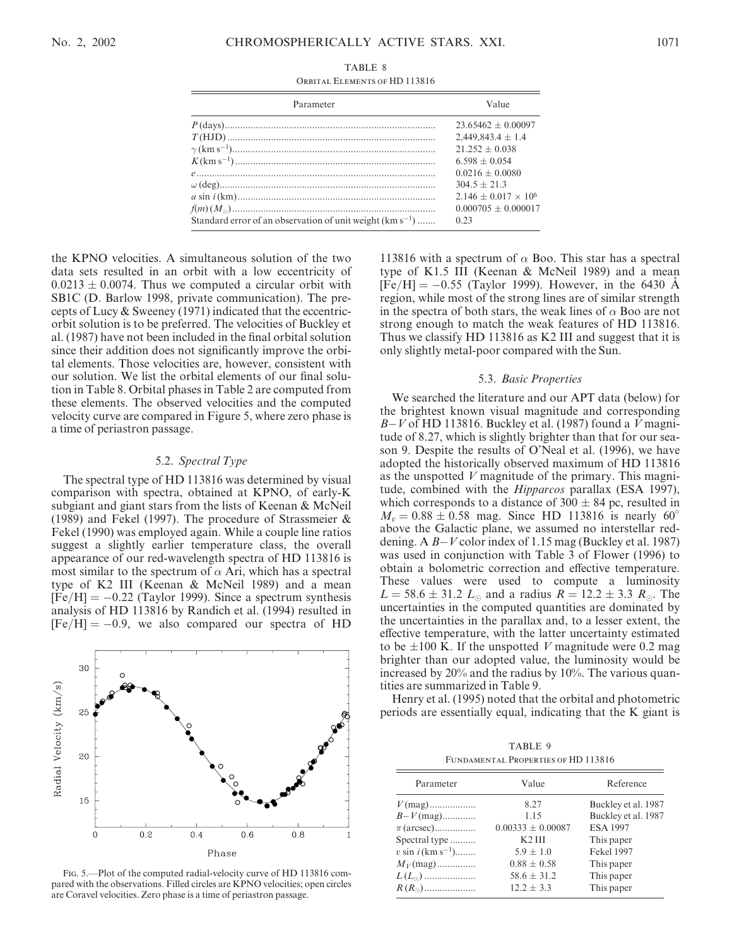| Parameter                                                     | Value                       |
|---------------------------------------------------------------|-----------------------------|
|                                                               | $23.65462 + 0.00097$        |
|                                                               | $2,449,843.4 \pm 1.4$       |
|                                                               | $21.252 + 0.038$            |
|                                                               | $6.598 + 0.054$             |
|                                                               | $0.0216 + 0.0080$           |
|                                                               | $304.5 + 21.3$              |
|                                                               | $2.146 + 0.017 \times 10^6$ |
|                                                               | $0.000705 + 0.000017$       |
| Standard error of an observation of unit weight $(km s^{-1})$ | 0.23                        |

Orbital Elements of HD 113816

the KPNO velocities. A simultaneous solution of the two data sets resulted in an orbit with a low eccentricity of  $0.0213 \pm 0.0074$ . Thus we computed a circular orbit with SB1C (D. Barlow 1998, private communication). The precepts of Lucy & Sweeney (1971) indicated that the eccentricorbit solution is to be preferred. The velocities of Buckley et al. (1987) have not been included in the final orbital solution since their addition does not significantly improve the orbital elements. Those velocities are, however, consistent with our solution. We list the orbital elements of our final solution in Table 8. Orbital phases in Table 2 are computed from these elements. The observed velocities and the computed velocity curve are compared in Figure 5, where zero phase is a time of periastron passage.

#### 5.2. Spectral Type

The spectral type of HD 113816 was determined by visual comparison with spectra, obtained at KPNO, of early-K subgiant and giant stars from the lists of Keenan & McNeil (1989) and Fekel (1997). The procedure of Strassmeier & Fekel (1990) was employed again. While a couple line ratios suggest a slightly earlier temperature class, the overall appearance of our red-wavelength spectra of HD 113816 is most similar to the spectrum of  $\alpha$  Ari, which has a spectral type of K2 III (Keenan & McNeil 1989) and a mean  $[Fe/H] = -0.22$  (Taylor 1999). Since a spectrum synthesis analysis of HD 113816 by Randich et al. (1994) resulted in  $[Fe/H] = -0.9$ , we also compared our spectra of HD



Fig. 5.—Plot of the computed radial-velocity curve of HD 113816 compared with the observations. Filled circles are KPNO velocities; open circles are Coravel velocities. Zero phase is a time of periastron passage.

113816 with a spectrum of  $\alpha$  Boo. This star has a spectral type of K1.5 III (Keenan & McNeil 1989) and a mean  $[\text{Fe/H}] = -0.55$  (Taylor 1999). However, in the 6430 Å region, while most of the strong lines are of similar strength in the spectra of both stars, the weak lines of  $\alpha$  Boo are not strong enough to match the weak features of HD 113816. Thus we classify HD 113816 as K2 III and suggest that it is only slightly metal-poor compared with the Sun.

#### 5.3. Basic Properties

We searched the literature and our APT data (below) for the brightest known visual magnitude and corresponding B-V of HD 113816. Buckley et al. (1987) found a V magnitude of 8.27, which is slightly brighter than that for our season 9. Despite the results of O'Neal et al. (1996), we have adopted the historically observed maximum of HD 113816 as the unspotted V magnitude of the primary. This magnitude, combined with the *Hipparcos* parallax (ESA 1997), which corresponds to a distance of  $300 \pm 84$  pc, resulted in  $M_v = 0.88 \pm 0.58$  mag. Since HD 113816 is nearly 60° above the Galactic plane, we assumed no interstellar reddening. A B-V color index of 1.15 mag (Buckley et al. 1987) was used in conjunction with Table 3 of Flower (1996) to obtain a bolometric correction and effective temperature. These values were used to compute a luminosity  $L = 58.6 \pm 31.2$   $L_{\odot}$  and a radius  $R = 12.2 \pm 3.3$   $R_{\odot}$ . The uncertainties in the computed quantities are dominated by the uncertainties in the parallax and, to a lesser extent, the effective temperature, with the latter uncertainty estimated to be  $\pm 100$  K. If the unspotted V magnitude were 0.2 mag brighter than our adopted value, the luminosity would be increased by 20% and the radius by 10%. The various quantities are summarized in Table 9.

Henry et al. (1995) noted that the orbital and photometric periods are essentially equal, indicating that the K giant is

TABLE 9 Fundamental Properties of HD 113816

| Parameter                        | Value                 | Reference           |  |  |
|----------------------------------|-----------------------|---------------------|--|--|
| $V$ (mag)                        | 8.27                  | Buckley et al. 1987 |  |  |
| $B-V$ (mag)                      | 1.15                  | Buckley et al. 1987 |  |  |
| $\pi$ (arcsec)                   | $0.00333 \pm 0.00087$ | <b>ESA 1997</b>     |  |  |
| Spectral type                    | $K2$ III              | This paper          |  |  |
| $v \sin i$ (km s <sup>-1</sup> ) | $5.9 \pm 1.0$         | <b>Fekel 1997</b>   |  |  |
| $M_V$ (mag)                      | $0.88 \pm 0.58$       | This paper          |  |  |
| $L(L_{\odot})$                   | $58.6 \pm 31.2$       | This paper          |  |  |
| $R(R_{\odot})$                   | $12.2 \pm 3.3$        | This paper          |  |  |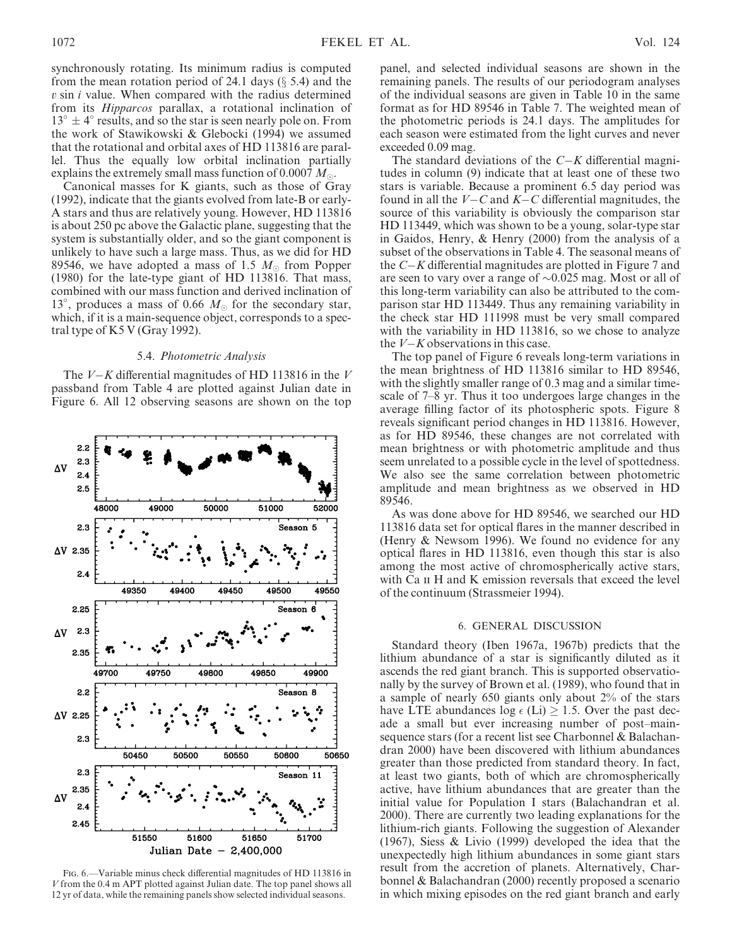synchronously rotating. Its minimum radius is computed from the mean rotation period of 24.1 days  $(\S 5.4)$  and the  $v \sin i$  value. When compared with the radius determined from its Hipparcos parallax, a rotational inclination of  $13^{\circ} \pm 4^{\circ}$  results, and so the star is seen nearly pole on. From the work of Stawikowski & Glebocki (1994) we assumed that the rotational and orbital axes of HD 113816 are parallel. Thus the equally low orbital inclination partially explains the extremely small mass function of 0.0007  $M_{\odot}$ .

Canonical masses for K giants, such as those of Gray (1992), indicate that the giants evolved from late-B or early-A stars and thus are relatively young. However, HD 113816 is about 250 pc above the Galactic plane, suggesting that the system is substantially older, and so the giant component is unlikely to have such a large mass. Thus, as we did for HD 89546, we have adopted a mass of 1.5  $M_{\odot}$  from Popper (1980) for the late-type giant of HD 113816. That mass, combined with our mass function and derived inclination of 13°, produces a mass of 0.66  $M_{\odot}$  for the secondary star, which, if it is a main-sequence object, corresponds to a spectral type of K5 V (Gray 1992).

#### 5.4. Photometric Analysis

The  $V-K$  differential magnitudes of HD 113816 in the V passband from Table 4 are plotted against Julian date in Figure 6. All 12 observing seasons are shown on the top



panel, and selected individual seasons are shown in the remaining panels. The results of our periodogram analyses of the individual seasons are given in Table 10 in the same format as for HD 89546 in Table 7. The weighted mean of the photometric periods is 24.1 days. The amplitudes for each season were estimated from the light curves and never exceeded 0.09 mag.

The standard deviations of the  $C-K$  differential magnitudes in column (9) indicate that at least one of these two stars is variable. Because a prominent 6.5 day period was found in all the  $V-C$  and  $K-C$  differential magnitudes, the source of this variability is obviously the comparison star HD 113449, which was shown to be a young, solar-type star in Gaidos, Henry, & Henry (2000) from the analysis of a subset of the observations in Table 4. The seasonal means of the C-K differential magnitudes are plotted in Figure 7 and are seen to vary over a range of  $\sim 0.025$  mag. Most or all of this long-term variability can also be attributed to the comparison star HD 113449. Thus any remaining variability in the check star HD 111998 must be very small compared with the variability in HD 113816, so we chose to analyze the  $V-K$  observations in this case.

The top panel of Figure 6 reveals long-term variations in the mean brightness of HD 113816 similar to HD 89546, with the slightly smaller range of 0.3 mag and a similar timescale of 7–8 yr. Thus it too undergoes large changes in the average filling factor of its photospheric spots. Figure 8 reveals significant period changes in HD 113816. However, as for HD 89546, these changes are not correlated with mean brightness or with photometric amplitude and thus seem unrelated to a possible cycle in the level of spottedness. We also see the same correlation between photometric amplitude and mean brightness as we observed in HD 89546.

As was done above for HD 89546, we searched our HD 113816 data set for optical flares in the manner described in (Henry & Newsom 1996). We found no evidence for any optical flares in HD 113816, even though this star is also among the most active of chromospherically active stars, with Ca II H and K emission reversals that exceed the level of the continuum (Strassmeier 1994).

#### 6. GENERAL DISCUSSION

Standard theory (Iben 1967a, 1967b) predicts that the lithium abundance of a star is significantly diluted as it ascends the red giant branch. This is supported observationally by the survey of Brown et al. (1989), who found that in a sample of nearly 650 giants only about 2% of the stars have LTE abundances  $log \epsilon$  (Li)  $\geq$  1.5. Over the past decade a small but ever increasing number of post–mainsequence stars (for a recent list see Charbonnel & Balachandran 2000) have been discovered with lithium abundances greater than those predicted from standard theory. In fact, at least two giants, both of which are chromospherically active, have lithium abundances that are greater than the initial value for Population I stars (Balachandran et al. 2000). There are currently two leading explanations for the lithium-rich giants. Following the suggestion of Alexander (1967), Siess & Livio (1999) developed the idea that the unexpectedly high lithium abundances in some giant stars result from the accretion of planets. Alternatively, Charbonnel & Balachandran (2000) recently proposed a scenario in which mixing episodes on the red giant branch and early

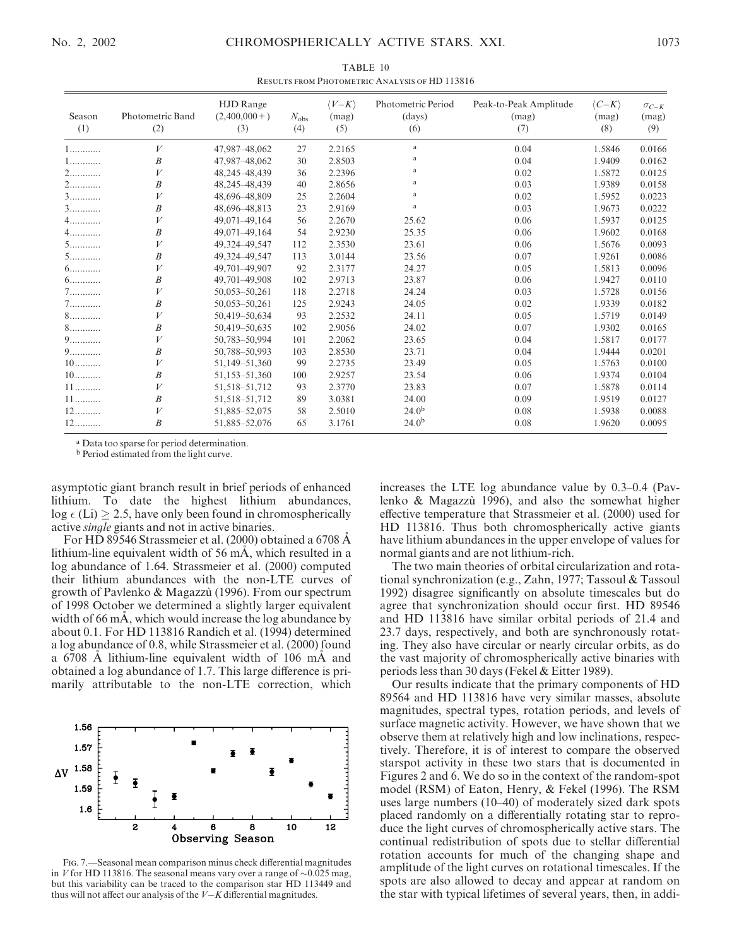|                             | <b>RESULTS FROM FHOTOMETRIC ANALYSIS OF TID 113010</b> |                                           |                      |                                      |                                     |                                        |                                      |                                |  |  |
|-----------------------------|--------------------------------------------------------|-------------------------------------------|----------------------|--------------------------------------|-------------------------------------|----------------------------------------|--------------------------------------|--------------------------------|--|--|
| Season<br>(1)               | Photometric Band<br>(2)                                | <b>HJD</b> Range<br>$(2,400,000+)$<br>(3) | $N_{\rm obs}$<br>(4) | $\langle V-K\rangle$<br>(mag)<br>(5) | Photometric Period<br>(days)<br>(6) | Peak-to-Peak Amplitude<br>(mag)<br>(7) | $\langle C-K\rangle$<br>(mag)<br>(8) | $\sigma_{C-K}$<br>(mag)<br>(9) |  |  |
| 1                           | V                                                      | 47,987-48,062                             | 27                   | 2.2165                               | a                                   | 0.04                                   | 1.5846                               | 0.0166                         |  |  |
| $1,\ldots,\ldots\ldots$     | $\boldsymbol{B}$                                       | 47,987-48,062                             | 30                   | 2.8503                               | a                                   | 0.04                                   | 1.9409                               | 0.0162                         |  |  |
| 2                           | V                                                      | 48,245-48,439                             | 36                   | 2.2396                               | a                                   | 0.02                                   | 1.5872                               | 0.0125                         |  |  |
| 2                           | $\boldsymbol{B}$                                       | 48,245-48,439                             | 40                   | 2.8656                               | a                                   | 0.03                                   | 1.9389                               | 0.0158                         |  |  |
| $3 \dots \dots \dots \dots$ | V                                                      | 48,696-48,809                             | 25                   | 2.2604                               | $\rm{a}$                            | 0.02                                   | 1.5952                               | 0.0223                         |  |  |
| $3$                         | B                                                      | 48,696-48,813                             | 23                   | 2.9169                               | $\rm{a}$                            | 0.03                                   | 1.9673                               | 0.0222                         |  |  |
| $4$                         | V                                                      | 49,071-49,164                             | 56                   | 2.2670                               | 25.62                               | 0.06                                   | 1.5937                               | 0.0125                         |  |  |
| $4$                         | $\boldsymbol{B}$                                       | 49,071-49,164                             | 54                   | 2.9230                               | 25.35                               | 0.06                                   | 1.9602                               | 0.0168                         |  |  |
| $5$                         | V                                                      | 49,324-49,547                             | 112                  | 2.3530                               | 23.61                               | 0.06                                   | 1.5676                               | 0.0093                         |  |  |
| $5$                         | B                                                      | 49,324-49,547                             | 113                  | 3.0144                               | 23.56                               | 0.07                                   | 1.9261                               | 0.0086                         |  |  |
| $6$                         | V                                                      | 49,701-49,907                             | 92                   | 2.3177                               | 24.27                               | 0.05                                   | 1.5813                               | 0.0096                         |  |  |
| $6$                         | B                                                      | 49,701-49,908                             | 102                  | 2.9713                               | 23.87                               | 0.06                                   | 1.9427                               | 0.0110                         |  |  |
| $7\dots\dots\dots\dots$     | V                                                      | 50,053-50,261                             | 118                  | 2.2718                               | 24.24                               | 0.03                                   | 1.5728                               | 0.0156                         |  |  |
| $7$                         | B                                                      | 50,053-50,261                             | 125                  | 2.9243                               | 24.05                               | 0.02                                   | 1.9339                               | 0.0182                         |  |  |
| $8\dots\dots\dots\dots$     | $\boldsymbol{V}$                                       | 50,419-50,634                             | 93                   | 2.2532                               | 24.11                               | 0.05                                   | 1.5719                               | 0.0149                         |  |  |
| $8\dots\dots\dots\dots$     | B                                                      | 50,419-50,635                             | 102                  | 2.9056                               | 24.02                               | 0.07                                   | 1.9302                               | 0.0165                         |  |  |
| 9                           | V                                                      | 50,783-50,994                             | 101                  | 2.2062                               | 23.65                               | 0.04                                   | 1.5817                               | 0.0177                         |  |  |
| $9$                         | $\boldsymbol{B}$                                       | 50,788-50,993                             | 103                  | 2.8530                               | 23.71                               | 0.04                                   | 1.9444                               | 0.0201                         |  |  |
| $10$                        | V                                                      | 51,149-51,360                             | 99                   | 2.2735                               | 23.49                               | 0.05                                   | 1.5763                               | 0.0100                         |  |  |
| $10$                        | B                                                      | 51,153-51,360                             | 100                  | 2.9257                               | 23.54                               | 0.06                                   | 1.9374                               | 0.0104                         |  |  |
| $11$                        | V                                                      | 51, 518 - 51, 712                         | 93                   | 2.3770                               | 23.83                               | 0.07                                   | 1.5878                               | 0.0114                         |  |  |
| $11$                        | $\boldsymbol{B}$                                       | 51, 518 - 51, 712                         | 89                   | 3.0381                               | 24.00                               | 0.09                                   | 1.9519                               | 0.0127                         |  |  |
| $12$                        | V                                                      | 51,885-52,075                             | 58                   | 2.5010                               | 24.0 <sup>b</sup>                   | 0.08                                   | 1.5938                               | 0.0088                         |  |  |
| $12$                        | $\boldsymbol{B}$                                       | 51,885-52,076                             | 65                   | 3.1761                               | $24.0^{b}$                          | 0.08                                   | 1.9620                               | 0.0095                         |  |  |

TABLE 10  $R_{\text{R}}$  from Analysis of  $\theta$ 

<sup>a</sup> Data too sparse for period determination.

<sup>b</sup> Period estimated from the light curve.

asymptotic giant branch result in brief periods of enhanced lithium. To date the highest lithium abundances,  $log \epsilon$  (Li)  $\geq$  2.5, have only been found in chromospherically active single giants and not in active binaries.

For HD 89546 Strassmeier et al. (2000) obtained a 6708 A lithium-line equivalent width of 56  $m\overline{A}$ , which resulted in a log abundance of 1.64. Strassmeier et al. (2000) computed their lithium abundances with the non-LTE curves of growth of Pavlenko & Magazzu` (1996). From our spectrum of 1998 October we determined a slightly larger equivalent width of 66 mA, which would increase the log abundance by about 0.1. For HD 113816 Randich et al. (1994) determined a log abundance of 0.8, while Strassmeier et al. (2000) found a 6708 A lithium-line equivalent width of 106 mA and obtained a log abundance of 1.7. This large difference is primarily attributable to the non-LTE correction, which



Fig. 7.—Seasonal mean comparison minus check differential magnitudes in V for HD 113816. The seasonal means vary over a range of  $\sim 0.025$  mag, but this variability can be traced to the comparison star HD 113449 and thus will not affect our analysis of the  $V-K$  differential magnitudes.

increases the LTE log abundance value by 0.3–0.4 (Pavlenko & Magazzu` 1996), and also the somewhat higher effective temperature that Strassmeier et al. (2000) used for HD 113816. Thus both chromospherically active giants have lithium abundances in the upper envelope of values for normal giants and are not lithium-rich.

The two main theories of orbital circularization and rotational synchronization (e.g., Zahn, 1977; Tassoul & Tassoul 1992) disagree significantly on absolute timescales but do agree that synchronization should occur first. HD 89546 and HD 113816 have similar orbital periods of 21.4 and 23.7 days, respectively, and both are synchronously rotating. They also have circular or nearly circular orbits, as do the vast majority of chromospherically active binaries with periods less than 30 days (Fekel & Eitter 1989).

Our results indicate that the primary components of HD 89564 and HD 113816 have very similar masses, absolute magnitudes, spectral types, rotation periods, and levels of surface magnetic activity. However, we have shown that we observe them at relatively high and low inclinations, respectively. Therefore, it is of interest to compare the observed starspot activity in these two stars that is documented in Figures 2 and 6. We do so in the context of the random-spot model (RSM) of Eaton, Henry, & Fekel (1996). The RSM uses large numbers (10–40) of moderately sized dark spots placed randomly on a differentially rotating star to reproduce the light curves of chromospherically active stars. The continual redistribution of spots due to stellar differential rotation accounts for much of the changing shape and amplitude of the light curves on rotational timescales. If the spots are also allowed to decay and appear at random on the star with typical lifetimes of several years, then, in addi-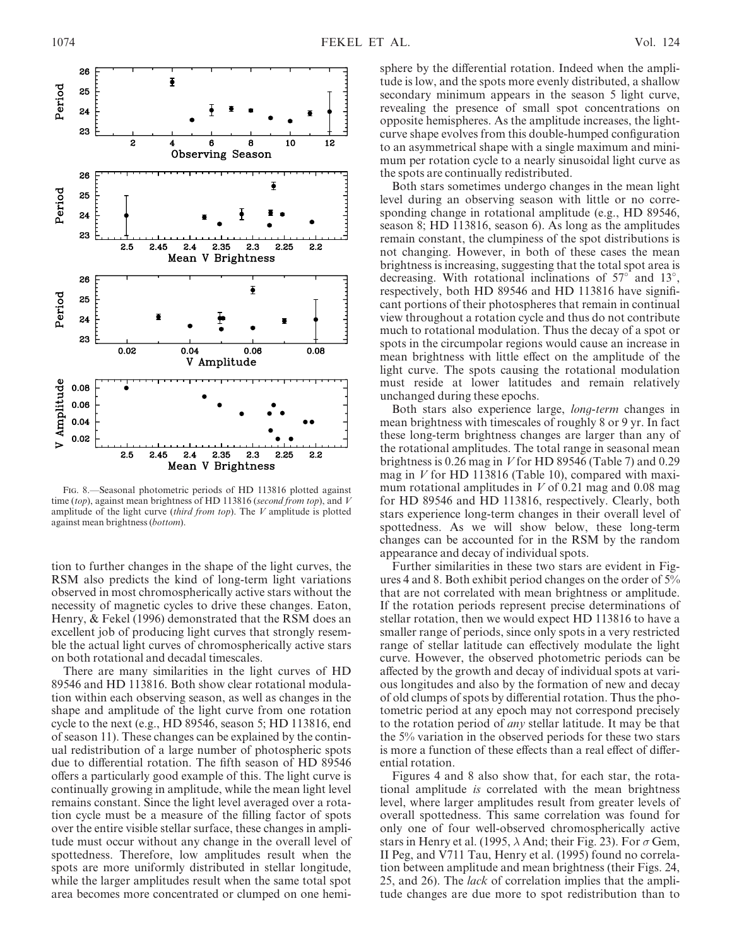

Fig. 8.—Seasonal photometric periods of HD 113816 plotted against time (top), against mean brightness of HD 113816 (second from top), and V amplitude of the light curve (third from top). The  $V$  amplitude is plotted against mean brightness (bottom).

tion to further changes in the shape of the light curves, the RSM also predicts the kind of long-term light variations observed in most chromospherically active stars without the necessity of magnetic cycles to drive these changes. Eaton, Henry, & Fekel (1996) demonstrated that the RSM does an excellent job of producing light curves that strongly resemble the actual light curves of chromospherically active stars on both rotational and decadal timescales.

There are many similarities in the light curves of HD 89546 and HD 113816. Both show clear rotational modulation within each observing season, as well as changes in the shape and amplitude of the light curve from one rotation cycle to the next (e.g., HD 89546, season 5; HD 113816, end of season 11). These changes can be explained by the continual redistribution of a large number of photospheric spots due to differential rotation. The fifth season of HD 89546 offers a particularly good example of this. The light curve is continually growing in amplitude, while the mean light level remains constant. Since the light level averaged over a rotation cycle must be a measure of the filling factor of spots over the entire visible stellar surface, these changes in amplitude must occur without any change in the overall level of spottedness. Therefore, low amplitudes result when the spots are more uniformly distributed in stellar longitude, while the larger amplitudes result when the same total spot area becomes more concentrated or clumped on one hemi-

sphere by the differential rotation. Indeed when the amplitude is low, and the spots more evenly distributed, a shallow secondary minimum appears in the season 5 light curve, revealing the presence of small spot concentrations on opposite hemispheres. As the amplitude increases, the lightcurve shape evolves from this double-humped configuration to an asymmetrical shape with a single maximum and minimum per rotation cycle to a nearly sinusoidal light curve as the spots are continually redistributed.

Both stars sometimes undergo changes in the mean light level during an observing season with little or no corresponding change in rotational amplitude (e.g., HD 89546, season 8; HD 113816, season 6). As long as the amplitudes remain constant, the clumpiness of the spot distributions is not changing. However, in both of these cases the mean brightness is increasing, suggesting that the total spot area is decreasing. With rotational inclinations of  $57^\circ$  and  $13^\circ$ , respectively, both HD 89546 and HD 113816 have significant portions of their photospheres that remain in continual view throughout a rotation cycle and thus do not contribute much to rotational modulation. Thus the decay of a spot or spots in the circumpolar regions would cause an increase in mean brightness with little effect on the amplitude of the light curve. The spots causing the rotational modulation must reside at lower latitudes and remain relatively unchanged during these epochs.

Both stars also experience large, long-term changes in mean brightness with timescales of roughly 8 or 9 yr. In fact these long-term brightness changes are larger than any of the rotational amplitudes. The total range in seasonal mean brightness is 0.26 mag in V for HD 89546 (Table 7) and 0.29 mag in  $V$  for HD 113816 (Table 10), compared with maximum rotational amplitudes in  $V$  of 0.21 mag and 0.08 mag for HD 89546 and HD 113816, respectively. Clearly, both stars experience long-term changes in their overall level of spottedness. As we will show below, these long-term changes can be accounted for in the RSM by the random appearance and decay of individual spots.

Further similarities in these two stars are evident in Figures 4 and 8. Both exhibit period changes on the order of 5% that are not correlated with mean brightness or amplitude. If the rotation periods represent precise determinations of stellar rotation, then we would expect HD 113816 to have a smaller range of periods, since only spots in a very restricted range of stellar latitude can effectively modulate the light curve. However, the observed photometric periods can be affected by the growth and decay of individual spots at various longitudes and also by the formation of new and decay of old clumps of spots by differential rotation. Thus the photometric period at any epoch may not correspond precisely to the rotation period of any stellar latitude. It may be that the 5% variation in the observed periods for these two stars is more a function of these effects than a real effect of differential rotation.

Figures 4 and 8 also show that, for each star, the rotational amplitude is correlated with the mean brightness level, where larger amplitudes result from greater levels of overall spottedness. This same correlation was found for only one of four well-observed chromospherically active stars in Henry et al. (1995,  $\lambda$  And; their Fig. 23). For  $\sigma$  Gem, II Peg, and V711 Tau, Henry et al. (1995) found no correlation between amplitude and mean brightness (their Figs. 24, 25, and 26). The lack of correlation implies that the amplitude changes are due more to spot redistribution than to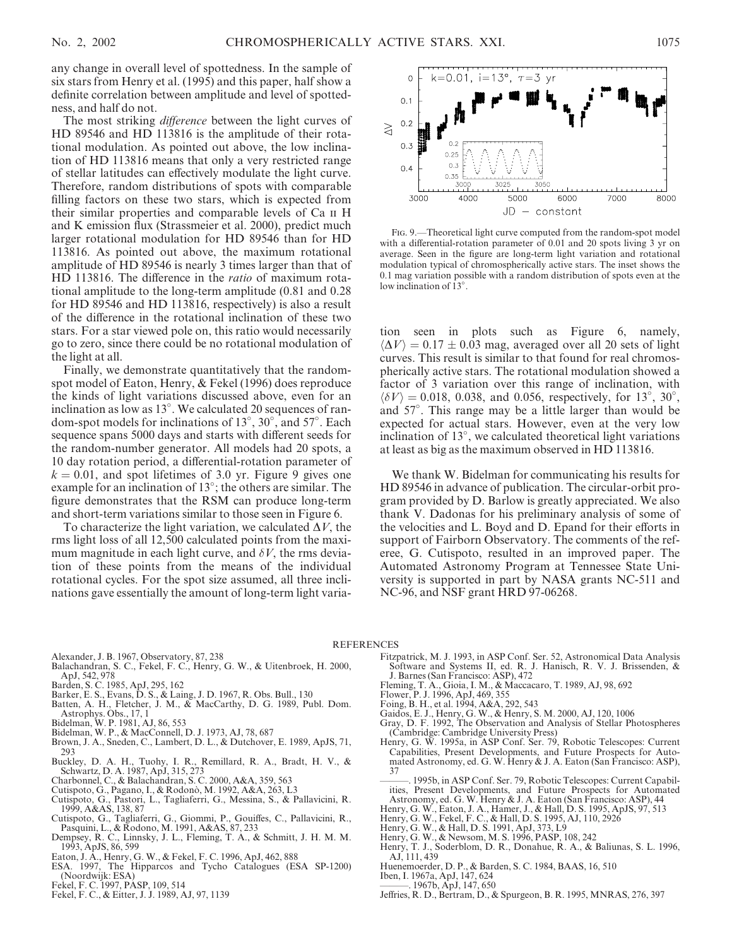any change in overall level of spottedness. In the sample of six stars from Henry et al. (1995) and this paper, half show a definite correlation between amplitude and level of spottedness, and half do not.

The most striking *difference* between the light curves of HD 89546 and HD 113816 is the amplitude of their rotational modulation. As pointed out above, the low inclination of HD 113816 means that only a very restricted range of stellar latitudes can effectively modulate the light curve. Therefore, random distributions of spots with comparable filling factors on these two stars, which is expected from their similar properties and comparable levels of Ca ii H and K emission flux (Strassmeier et al. 2000), predict much larger rotational modulation for HD 89546 than for HD 113816. As pointed out above, the maximum rotational amplitude of HD 89546 is nearly 3 times larger than that of HD 113816. The difference in the ratio of maximum rotational amplitude to the long-term amplitude (0.81 and 0.28 for HD 89546 and HD 113816, respectively) is also a result of the difference in the rotational inclination of these two stars. For a star viewed pole on, this ratio would necessarily go to zero, since there could be no rotational modulation of the light at all.

Finally, we demonstrate quantitatively that the randomspot model of Eaton, Henry, & Fekel (1996) does reproduce the kinds of light variations discussed above, even for an inclination as low as 13 . We calculated 20 sequences of random-spot models for inclinations of 13°, 30°, and 57°. Each sequence spans 5000 days and starts with different seeds for the random-number generator. All models had 20 spots, a 10 day rotation period, a differential-rotation parameter of  $k = 0.01$ , and spot lifetimes of 3.0 yr. Figure 9 gives one example for an inclination of 13°; the others are similar. The figure demonstrates that the RSM can produce long-term and short-term variations similar to those seen in Figure 6.

To characterize the light variation, we calculated  $\Delta V$ , the rms light loss of all 12,500 calculated points from the maximum magnitude in each light curve, and  $\delta V$ , the rms deviation of these points from the means of the individual rotational cycles. For the spot size assumed, all three inclinations gave essentially the amount of long-term light varia-



Fig. 9.—Theoretical light curve computed from the random-spot model with a differential-rotation parameter of 0.01 and 20 spots living 3 yr on average. Seen in the figure are long-term light variation and rotational modulation typical of chromospherically active stars. The inset shows the 0.1 mag variation possible with a random distribution of spots even at the low inclination of  $13^\circ$ .

tion seen in plots such as Figure 6, namely,  $\langle \Delta V \rangle = 0.17 \pm 0.03$  mag, averaged over all 20 sets of light curves. This result is similar to that found for real chromospherically active stars. The rotational modulation showed a factor of 3 variation over this range of inclination, with  $\langle \delta V \rangle = 0.018, 0.038, \text{ and } 0.056, \text{ respectively, for } 13^{\circ}, 30^{\circ},$ and 57 . This range may be a little larger than would be expected for actual stars. However, even at the very low inclination of 13 , we calculated theoretical light variations at least as big as the maximum observed in HD 113816.

We thank W. Bidelman for communicating his results for HD 89546 in advance of publication. The circular-orbit program provided by D. Barlow is greatly appreciated. We also thank V. Dadonas for his preliminary analysis of some of the velocities and L. Boyd and D. Epand for their efforts in support of Fairborn Observatory. The comments of the referee, G. Cutispoto, resulted in an improved paper. The Automated Astronomy Program at Tennessee State University is supported in part by NASA grants NC-511 and NC-96, and NSF grant HRD 97-06268.

- Alexander, J. B. 1967, Observatory, 87, 238
- Balachandran, S. C., Fekel, F. C., Henry, G. W., & Uitenbroek, H. 2000, ApJ, 542, 978
- 
- Barden, S. C. 1985, ApJ, 295, 162 Barker, E. S., Evans, D. S., & Laing, J. D. 1967, R. Obs. Bull., 130
- Batten, A. H., Fletcher, J. M., & MacCarthy, D. G. 1989, Publ. Dom.
- Astrophys. Obs., 17, 1 Bidelman, W. P. 1981, AJ, 86, 553
- 
- Bidelman, W. P., & MacConnell, D. J. 1973, AJ, 78, 687 Brown, J. A., Sneden, C., Lambert, D. L., & Dutchover, E. 1989, ApJS, 71, 293
- Buckley, D. A. H., Tuohy, I. R., Remillard, R. A., Bradt, H. V., & Schwartz, D. A. 1987, ApJ, 315, 273 Charbonnel, C., & Balachandran, S. C. 2000, A&A, 359, 563 Cutispoto, G., Pagano, I., & Rodono`, M. 1992, A&A, 263, L3
- 
- 
- Cutispoto, G., Pastori, L., Tagliaferri, G., Messina, S., & Pallavicini, R. 1999, A&AS, 138, 87 Cutispoto, G., Tagliaferri, G., Giommi, P., Gouiffes, C., Pallavicini, R.,
- Pasquini, L., & Rodono, M. 1991, A&AS, 87, 233
- Dempsey, R. C., Linnsky, J. L., Fleming, T. A., & Schmitt, J. H. M. M. 1993, ApJS, 86, 599
- Eaton, J. A., Henry, G. W., & Fekel, F. C. 1996, ApJ, 462, 888
- ESA. 1997, The Hipparcos and Tycho Catalogues (ESA SP-1200) (Noordwijk: ESA)
- 
- Fekel, F. C. 1997, PASP, 109, 514 Fekel, F. C., & Eitter, J. J. 1989, AJ, 97, 1139
- Fitzpatrick, M. J. 1993, in ASP Conf. Ser. 52, Astronomical Data Analysis Software and Systems II, ed. R. J. Hanisch, R. V. J. Brissenden, & J. Barnes (San Francisco: ASP), 472
- Fleming, T. A., Gioia, I. M., & Maccacaro, T. 1989, AJ, 98, 692
- Flower, P. J. 1996, ApJ, 469, 355

**REFERENCES** 

- Foing, B. H., et al. 1994, A&A, 292, 543
- 
- Gaidos, E. J., Henry, G. W., & Henry, S. M. 2000, AJ, 120, 1006 Gray, D. F. 1992, The Observation and Analysis of Stellar Photospheres
- (Cambridge: Cambridge University Press) Henry, G. W. 1995a, in ASP Conf. Ser. 79, Robotic Telescopes: Current Capabilities, Present Developments, and Future Prospects for Automated Astronomy, ed. G. W. Henry & J. A. Eaton (San Francisco: ASP), 37
- 1995b, in ASP Conf. Ser. 79, Robotic Telescopes: Current Capabilities, Present Developments, and Future Prospects for Automated Astronomy, ed. G. W. Henry & J. A. Eaton (San Francisco: ASP), 44
- Henry, G. W., Eaton, J. A., Hamer, J., & Hall, D. S. 1995, ApJS, 97, 513 Henry, G. W., Fekel, F. C., & Hall, D. S. 1995, AJ, 110, 2926
- 
- Henry, G. W., & Hall, D. S. 1991, ApJ, 373, L9
- Henry, G. W., & Newsom, M. S. 1996, PASP, 108, 242
- Henry, T. J., Soderblom, D. R., Donahue, R. A., & Baliunas, S. L. 1996, AJ, 111, 439
- Huenemoerder, D. P., & Barden, S. C. 1984, BAAS, 16, 510 Iben, I. 1967a, ApJ, 147, 624
- 
- 1967b, ApJ, 147, 650
- Jeffries, R. D., Bertram, D., & Spurgeon, B. R. 1995, MNRAS, 276, 397